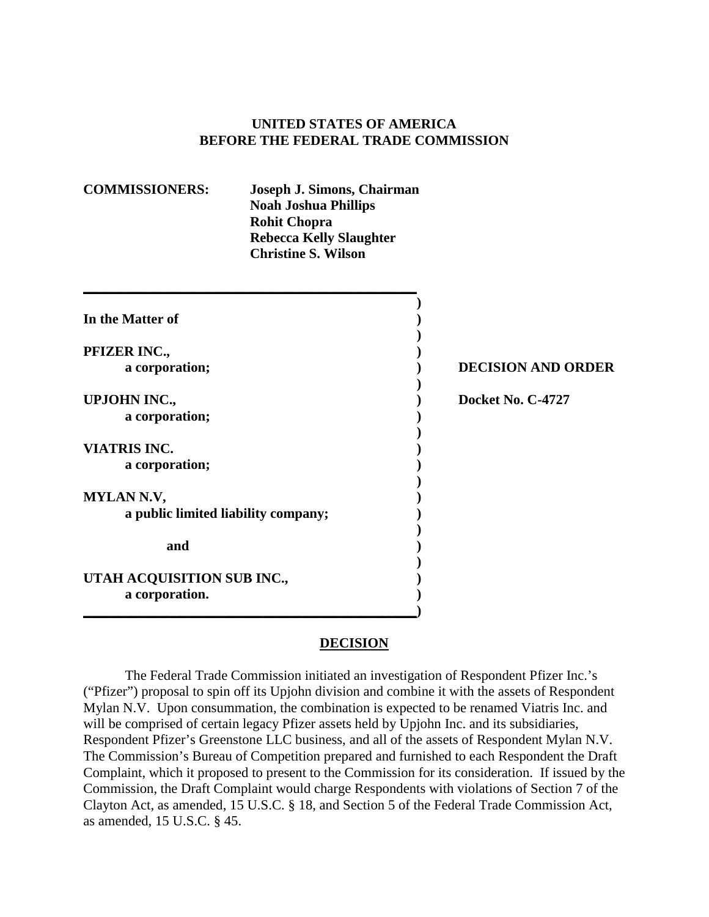### **UNITED STATES OF AMERICA BEFORE THE FEDERAL TRADE COMMISSION**

| <b>COMMISSIONERS:</b> | Joseph J. Simons, Chairman     |
|-----------------------|--------------------------------|
|                       | <b>Noah Joshua Phillips</b>    |
|                       | <b>Rohit Chopra</b>            |
|                       | <b>Rebecca Kelly Slaughter</b> |
|                       | <b>Christine S. Wilson</b>     |

**\_\_\_\_\_\_\_\_\_\_\_\_\_\_\_\_\_\_\_\_\_\_\_\_\_\_\_\_\_\_\_\_\_\_\_\_\_\_\_\_\_\_\_\_\_\_\_\_**

| In the Matter of                    |                           |
|-------------------------------------|---------------------------|
| PFIZER INC.,                        |                           |
| a corporation;                      | <b>DECISION AND ORDER</b> |
| <b>UPJOHN INC.,</b>                 | Docket No. C-4727         |
| a corporation;                      |                           |
| <b>VIATRIS INC.</b>                 |                           |
| a corporation;                      |                           |
| <b>MYLAN N.V,</b>                   |                           |
| a public limited liability company; |                           |
| and                                 |                           |
| UTAH ACQUISITION SUB INC.,          |                           |
| a corporation.                      |                           |

#### **DECISION**

The Federal Trade Commission initiated an investigation of Respondent Pfizer Inc.'s ("Pfizer") proposal to spin off its Upjohn division and combine it with the assets of Respondent Mylan N.V. Upon consummation, the combination is expected to be renamed Viatris Inc. and will be comprised of certain legacy Pfizer assets held by Upjohn Inc. and its subsidiaries, Respondent Pfizer's Greenstone LLC business, and all of the assets of Respondent Mylan N.V. The Commission's Bureau of Competition prepared and furnished to each Respondent the Draft Complaint, which it proposed to present to the Commission for its consideration. If issued by the Commission, the Draft Complaint would charge Respondents with violations of Section 7 of the Clayton Act, as amended, 15 U.S.C. § 18, and Section 5 of the Federal Trade Commission Act, as amended, 15 U.S.C. § 45.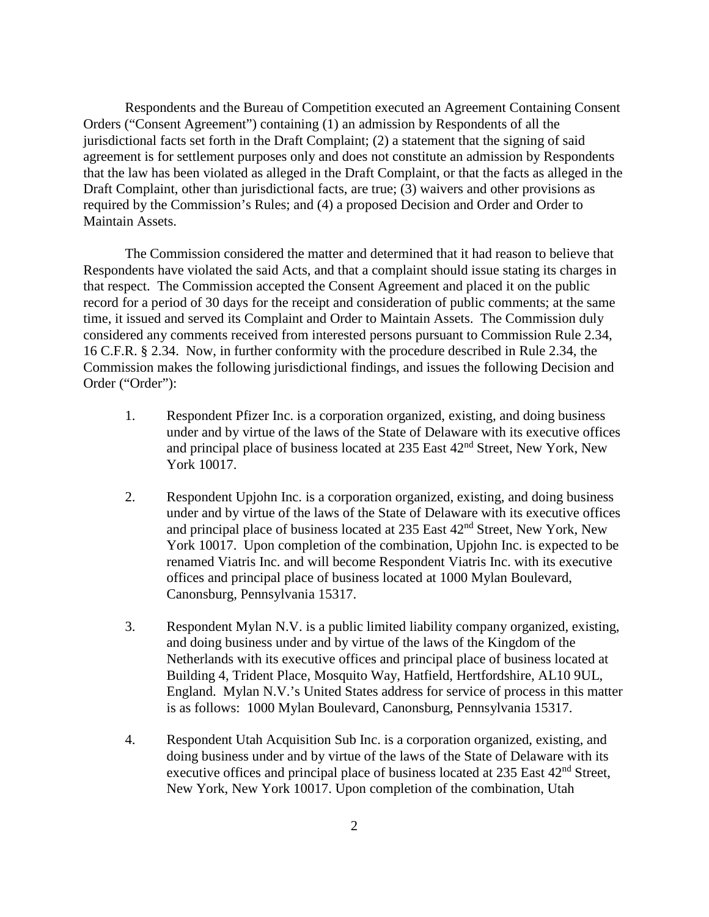Respondents and the Bureau of Competition executed an Agreement Containing Consent Orders ("Consent Agreement") containing (1) an admission by Respondents of all the jurisdictional facts set forth in the Draft Complaint; (2) a statement that the signing of said agreement is for settlement purposes only and does not constitute an admission by Respondents that the law has been violated as alleged in the Draft Complaint, or that the facts as alleged in the Draft Complaint, other than jurisdictional facts, are true; (3) waivers and other provisions as required by the Commission's Rules; and (4) a proposed Decision and Order and Order to Maintain Assets.

The Commission considered the matter and determined that it had reason to believe that Respondents have violated the said Acts, and that a complaint should issue stating its charges in that respect. The Commission accepted the Consent Agreement and placed it on the public record for a period of 30 days for the receipt and consideration of public comments; at the same time, it issued and served its Complaint and Order to Maintain Assets. The Commission duly considered any comments received from interested persons pursuant to Commission Rule 2.34, 16 C.F.R. § 2.34. Now, in further conformity with the procedure described in Rule 2.34, the Commission makes the following jurisdictional findings, and issues the following Decision and Order ("Order"):

- 1. Respondent Pfizer Inc. is a corporation organized, existing, and doing business under and by virtue of the laws of the State of Delaware with its executive offices and principal place of business located at 235 East  $42<sup>nd</sup>$  Street, New York, New York 10017.
- 2. Respondent Upjohn Inc. is a corporation organized, existing, and doing business under and by virtue of the laws of the State of Delaware with its executive offices and principal place of business located at 235 East 42nd Street, New York, New York 10017. Upon completion of the combination, Upjohn Inc. is expected to be renamed Viatris Inc. and will become Respondent Viatris Inc. with its executive offices and principal place of business located at 1000 Mylan Boulevard, Canonsburg, Pennsylvania 15317.
- 3. Respondent Mylan N.V. is a public limited liability company organized, existing, and doing business under and by virtue of the laws of the Kingdom of the Netherlands with its executive offices and principal place of business located at Building 4, Trident Place, Mosquito Way, Hatfield, Hertfordshire, AL10 9UL, England. Mylan N.V.'s United States address for service of process in this matter is as follows: 1000 Mylan Boulevard, Canonsburg, Pennsylvania 15317.
- 4. Respondent Utah Acquisition Sub Inc. is a corporation organized, existing, and doing business under and by virtue of the laws of the State of Delaware with its executive offices and principal place of business located at  $235$  East  $42<sup>nd</sup>$  Street, New York, New York 10017. Upon completion of the combination, Utah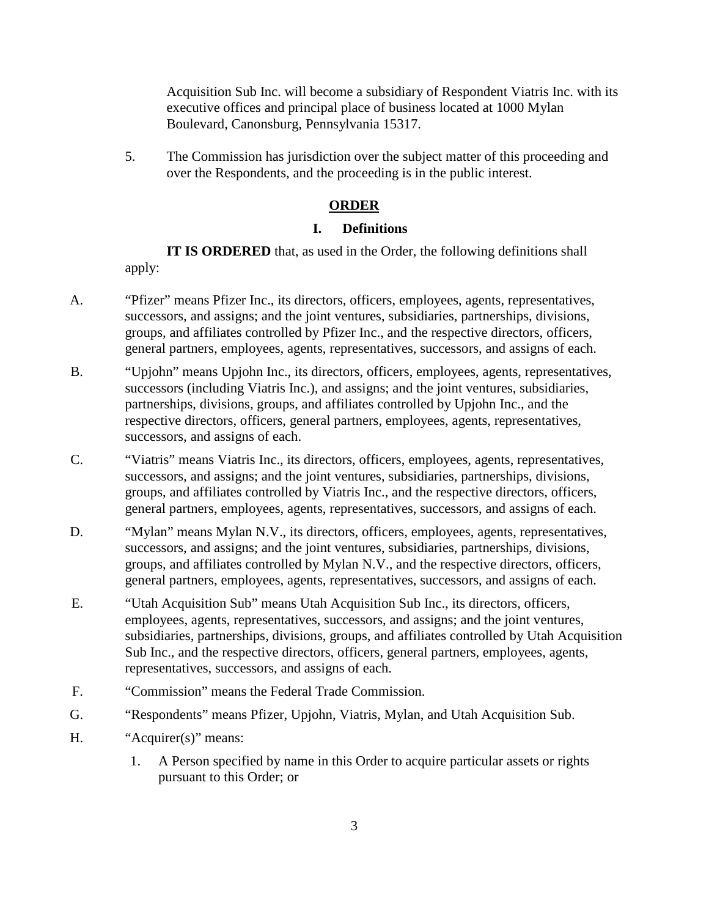Acquisition Sub Inc. will become a subsidiary of Respondent Viatris Inc. with its executive offices and principal place of business located at 1000 Mylan Boulevard, Canonsburg, Pennsylvania 15317.

5. The Commission has jurisdiction over the subject matter of this proceeding and over the Respondents, and the proceeding is in the public interest.

## **ORDER**

### **I. Definitions**

**IT IS ORDERED** that, as used in the Order, the following definitions shall apply:

- A. "Pfizer" means Pfizer Inc., its directors, officers, employees, agents, representatives, successors, and assigns; and the joint ventures, subsidiaries, partnerships, divisions, groups, and affiliates controlled by Pfizer Inc., and the respective directors, officers, general partners, employees, agents, representatives, successors, and assigns of each.
- B. "Upjohn" means Upjohn Inc., its directors, officers, employees, agents, representatives, successors (including Viatris Inc.), and assigns; and the joint ventures, subsidiaries, partnerships, divisions, groups, and affiliates controlled by Upjohn Inc., and the respective directors, officers, general partners, employees, agents, representatives, successors, and assigns of each.
- C. "Viatris" means Viatris Inc., its directors, officers, employees, agents, representatives, successors, and assigns; and the joint ventures, subsidiaries, partnerships, divisions, groups, and affiliates controlled by Viatris Inc., and the respective directors, officers, general partners, employees, agents, representatives, successors, and assigns of each.
- D. "Wylan" means Mylan N.V., its directors, officers, employees, agents, representatives, successors, and assigns; and the joint ventures, subsidiaries, partnerships, divisions, groups, and affiliates controlled by Mylan N.V., and the respective directors, officers, general partners, employees, agents, representatives, successors, and assigns of each.
- E. "Utah Acquisition Sub" means Utah Acquisition Sub Inc., its directors, officers, employees, agents, representatives, successors, and assigns; and the joint ventures, subsidiaries, partnerships, divisions, groups, and affiliates controlled by Utah Acquisition Sub Inc., and the respective directors, officers, general partners, employees, agents, representatives, successors, and assigns of each.
- F. "Commission" means the Federal Trade Commission.
- G. "Respondents" means Pfizer, Upjohn, Viatris, Mylan, and Utah Acquisition Sub.
- H. "Acquirer(s)" means:
	- 1. A Person specified by name in this Order to acquire particular assets or rights pursuant to this Order; or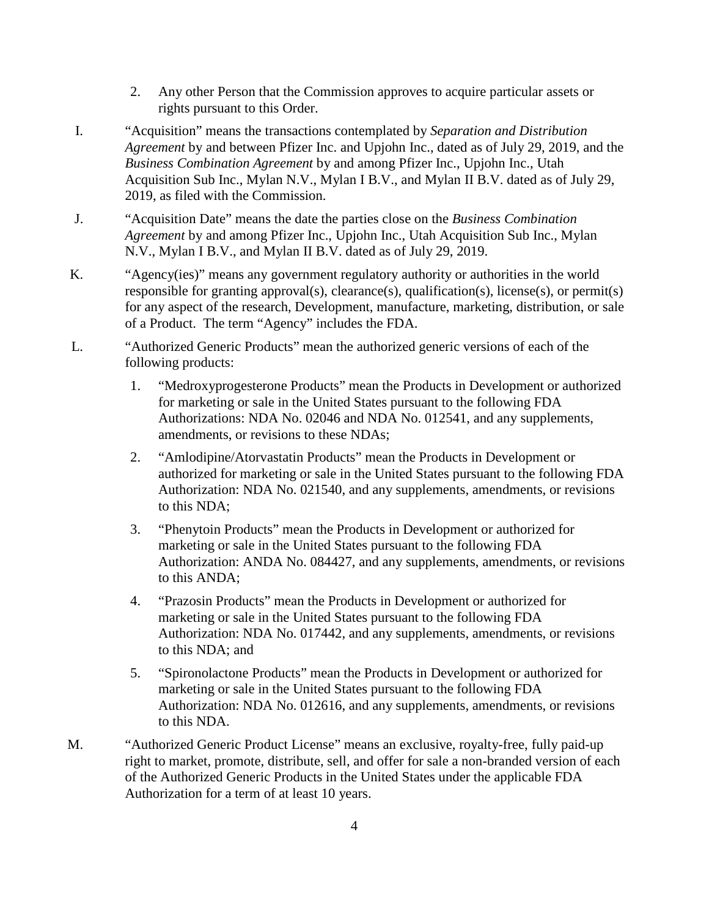- 2. Any other Person that the Commission approves to acquire particular assets or rights pursuant to this Order.
- I. "Acquisition" means the transactions contemplated by *Separation and Distribution Agreement* by and between Pfizer Inc. and Upjohn Inc., dated as of July 29, 2019, and the *Business Combination Agreement* by and among Pfizer Inc., Upjohn Inc., Utah Acquisition Sub Inc., Mylan N.V., Mylan I B.V., and Mylan II B.V. dated as of July 29, 2019, as filed with the Commission.
- J. "Acquisition Date" means the date the parties close on the *Business Combination Agreement* by and among Pfizer Inc., Upjohn Inc., Utah Acquisition Sub Inc., Mylan N.V., Mylan I B.V., and Mylan II B.V. dated as of July 29, 2019.
- K. "Agency(ies)" means any government regulatory authority or authorities in the world responsible for granting approval(s), clearance(s), qualification(s), license(s), or permit(s) for any aspect of the research, Development, manufacture, marketing, distribution, or sale of a Product. The term "Agency" includes the FDA.
- L. "Authorized Generic Products" mean the authorized generic versions of each of the following products:
	- 1. "Medroxyprogesterone Products" mean the Products in Development or authorized for marketing or sale in the United States pursuant to the following FDA Authorizations: NDA No. 02046 and NDA No. 012541, and any supplements, amendments, or revisions to these NDAs;
	- 2. "Amlodipine/Atorvastatin Products" mean the Products in Development or authorized for marketing or sale in the United States pursuant to the following FDA Authorization: NDA No. 021540, and any supplements, amendments, or revisions to this NDA;
	- 3. "Phenytoin Products" mean the Products in Development or authorized for marketing or sale in the United States pursuant to the following FDA Authorization: ANDA No. 084427, and any supplements, amendments, or revisions to this ANDA;
	- 4. "Prazosin Products" mean the Products in Development or authorized for marketing or sale in the United States pursuant to the following FDA Authorization: NDA No. 017442, and any supplements, amendments, or revisions to this NDA; and
	- 5. "Spironolactone Products" mean the Products in Development or authorized for marketing or sale in the United States pursuant to the following FDA Authorization: NDA No. 012616, and any supplements, amendments, or revisions to this NDA.
- M. "Authorized Generic Product License" means an exclusive, royalty-free, fully paid-up right to market, promote, distribute, sell, and offer for sale a non-branded version of each of the Authorized Generic Products in the United States under the applicable FDA Authorization for a term of at least 10 years.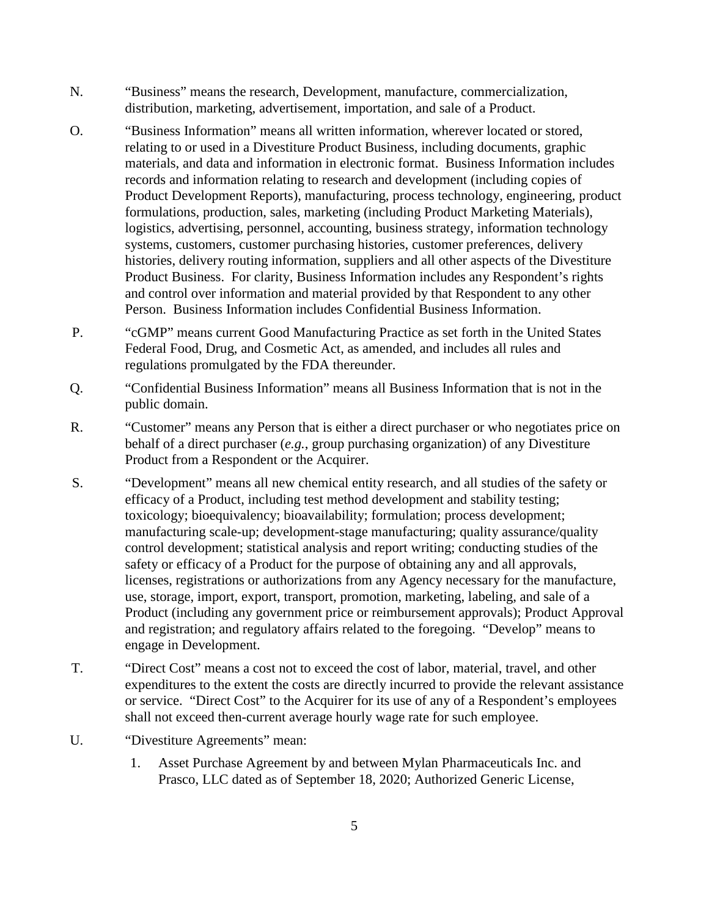- N. "Business" means the research, Development, manufacture, commercialization, distribution, marketing, advertisement, importation, and sale of a Product.
- O. "Business Information" means all written information, wherever located or stored, relating to or used in a Divestiture Product Business, including documents, graphic materials, and data and information in electronic format. Business Information includes records and information relating to research and development (including copies of Product Development Reports), manufacturing, process technology, engineering, product formulations, production, sales, marketing (including Product Marketing Materials), logistics, advertising, personnel, accounting, business strategy, information technology systems, customers, customer purchasing histories, customer preferences, delivery histories, delivery routing information, suppliers and all other aspects of the Divestiture Product Business. For clarity, Business Information includes any Respondent's rights and control over information and material provided by that Respondent to any other Person. Business Information includes Confidential Business Information.
- P. "cGMP" means current Good Manufacturing Practice as set forth in the United States Federal Food, Drug, and Cosmetic Act, as amended, and includes all rules and regulations promulgated by the FDA thereunder.
- Q. "Confidential Business Information" means all Business Information that is not in the public domain.
- R. "Customer" means any Person that is either a direct purchaser or who negotiates price on behalf of a direct purchaser (*e.g.*, group purchasing organization) of any Divestiture Product from a Respondent or the Acquirer.
- S. "Development" means all new chemical entity research, and all studies of the safety or efficacy of a Product, including test method development and stability testing; toxicology; bioequivalency; bioavailability; formulation; process development; manufacturing scale-up; development-stage manufacturing; quality assurance/quality control development; statistical analysis and report writing; conducting studies of the safety or efficacy of a Product for the purpose of obtaining any and all approvals, licenses, registrations or authorizations from any Agency necessary for the manufacture, use, storage, import, export, transport, promotion, marketing, labeling, and sale of a Product (including any government price or reimbursement approvals); Product Approval and registration; and regulatory affairs related to the foregoing. "Develop" means to engage in Development.
- T. "Direct Cost" means a cost not to exceed the cost of labor, material, travel, and other expenditures to the extent the costs are directly incurred to provide the relevant assistance or service. "Direct Cost" to the Acquirer for its use of any of a Respondent's employees shall not exceed then-current average hourly wage rate for such employee.
- U. "Divestiture Agreements" mean:
	- 1. Asset Purchase Agreement by and between Mylan Pharmaceuticals Inc. and Prasco, LLC dated as of September 18, 2020; Authorized Generic License,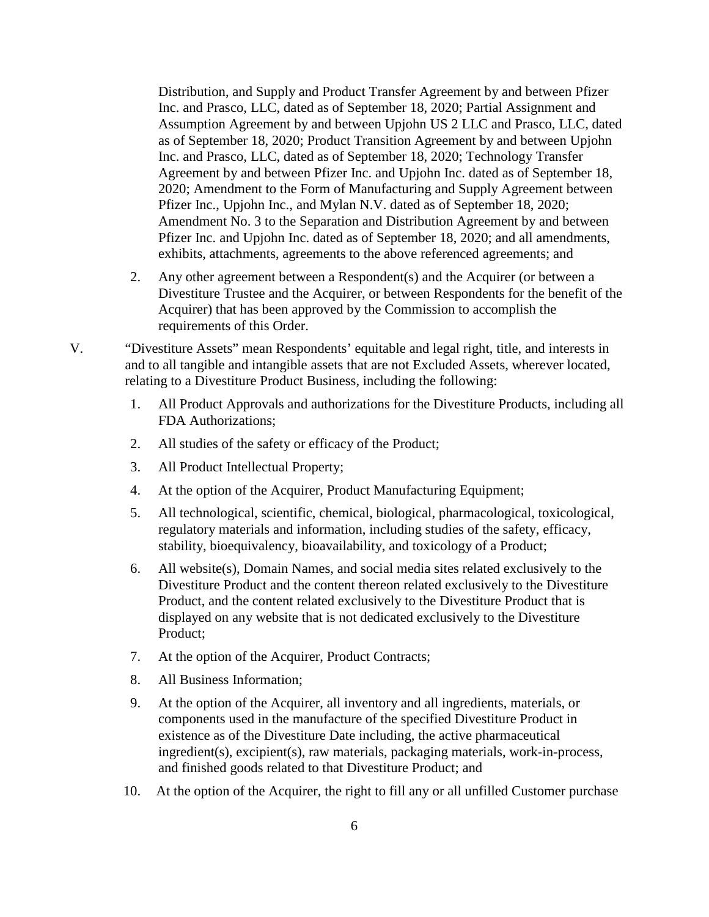Distribution, and Supply and Product Transfer Agreement by and between Pfizer Inc. and Prasco, LLC, dated as of September 18, 2020; Partial Assignment and Assumption Agreement by and between Upjohn US 2 LLC and Prasco, LLC, dated as of September 18, 2020; Product Transition Agreement by and between Upjohn Inc. and Prasco, LLC, dated as of September 18, 2020; Technology Transfer Agreement by and between Pfizer Inc. and Upjohn Inc. dated as of September 18, 2020; Amendment to the Form of Manufacturing and Supply Agreement between Pfizer Inc., Upjohn Inc., and Mylan N.V. dated as of September 18, 2020; Amendment No. 3 to the Separation and Distribution Agreement by and between Pfizer Inc. and Upjohn Inc. dated as of September 18, 2020; and all amendments, exhibits, attachments, agreements to the above referenced agreements; and

- 2. Any other agreement between a Respondent(s) and the Acquirer (or between a Divestiture Trustee and the Acquirer, or between Respondents for the benefit of the Acquirer) that has been approved by the Commission to accomplish the requirements of this Order.
- V. "Divestiture Assets" mean Respondents' equitable and legal right, title, and interests in and to all tangible and intangible assets that are not Excluded Assets, wherever located, relating to a Divestiture Product Business, including the following:
	- 1. All Product Approvals and authorizations for the Divestiture Products, including all FDA Authorizations;
	- 2. All studies of the safety or efficacy of the Product;
	- 3. All Product Intellectual Property;
	- 4. At the option of the Acquirer, Product Manufacturing Equipment;
	- 5. All technological, scientific, chemical, biological, pharmacological, toxicological, regulatory materials and information, including studies of the safety, efficacy, stability, bioequivalency, bioavailability, and toxicology of a Product;
	- 6. All website(s), Domain Names, and social media sites related exclusively to the Divestiture Product and the content thereon related exclusively to the Divestiture Product, and the content related exclusively to the Divestiture Product that is displayed on any website that is not dedicated exclusively to the Divestiture Product;
	- 7. At the option of the Acquirer, Product Contracts;
	- 8. All Business Information;
	- 9. At the option of the Acquirer, all inventory and all ingredients, materials, or components used in the manufacture of the specified Divestiture Product in existence as of the Divestiture Date including, the active pharmaceutical ingredient(s), excipient(s), raw materials, packaging materials, work-in-process, and finished goods related to that Divestiture Product; and
	- 10. At the option of the Acquirer, the right to fill any or all unfilled Customer purchase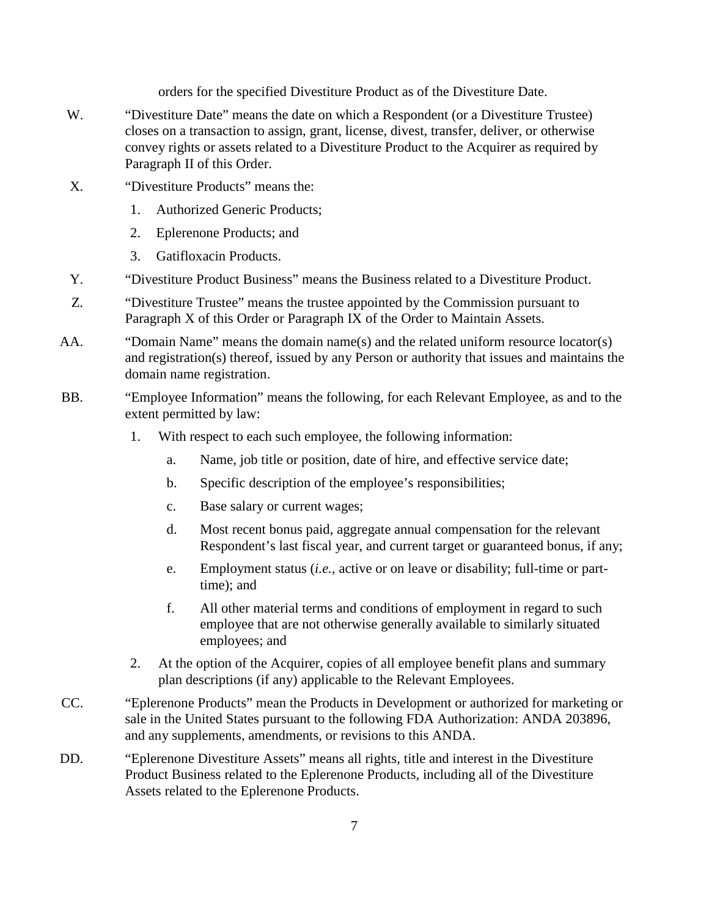orders for the specified Divestiture Product as of the Divestiture Date.

- W. "Divestiture Date" means the date on which a Respondent (or a Divestiture Trustee) closes on a transaction to assign, grant, license, divest, transfer, deliver, or otherwise convey rights or assets related to a Divestiture Product to the Acquirer as required by Paragraph II of this Order.
- X. "Divestiture Products" means the:
	- 1. Authorized Generic Products;
	- 2. Eplerenone Products; and
	- 3. Gatifloxacin Products.
- Y. "Divestiture Product Business" means the Business related to a Divestiture Product.
- Z. "Divestiture Trustee" means the trustee appointed by the Commission pursuant to Paragraph X of this Order or Paragraph IX of the Order to Maintain Assets.
- AA. "Domain Name" means the domain name(s) and the related uniform resource locator(s) and registration(s) thereof, issued by any Person or authority that issues and maintains the domain name registration.
- BB. "Employee Information" means the following, for each Relevant Employee, as and to the extent permitted by law:
	- 1. With respect to each such employee, the following information:
		- a. Name, job title or position, date of hire, and effective service date;
		- b. Specific description of the employee's responsibilities;
		- c. Base salary or current wages;
		- d. Most recent bonus paid, aggregate annual compensation for the relevant Respondent's last fiscal year, and current target or guaranteed bonus, if any;
		- e. Employment status (*i.e.,* active or on leave or disability; full-time or parttime); and
		- f. All other material terms and conditions of employment in regard to such employee that are not otherwise generally available to similarly situated employees; and
	- 2. At the option of the Acquirer, copies of all employee benefit plans and summary plan descriptions (if any) applicable to the Relevant Employees.
- CC. "Eplerenone Products" mean the Products in Development or authorized for marketing or sale in the United States pursuant to the following FDA Authorization: ANDA 203896, and any supplements, amendments, or revisions to this ANDA.
- DD. "Eplerenone Divestiture Assets" means all rights, title and interest in the Divestiture Product Business related to the Eplerenone Products, including all of the Divestiture Assets related to the Eplerenone Products.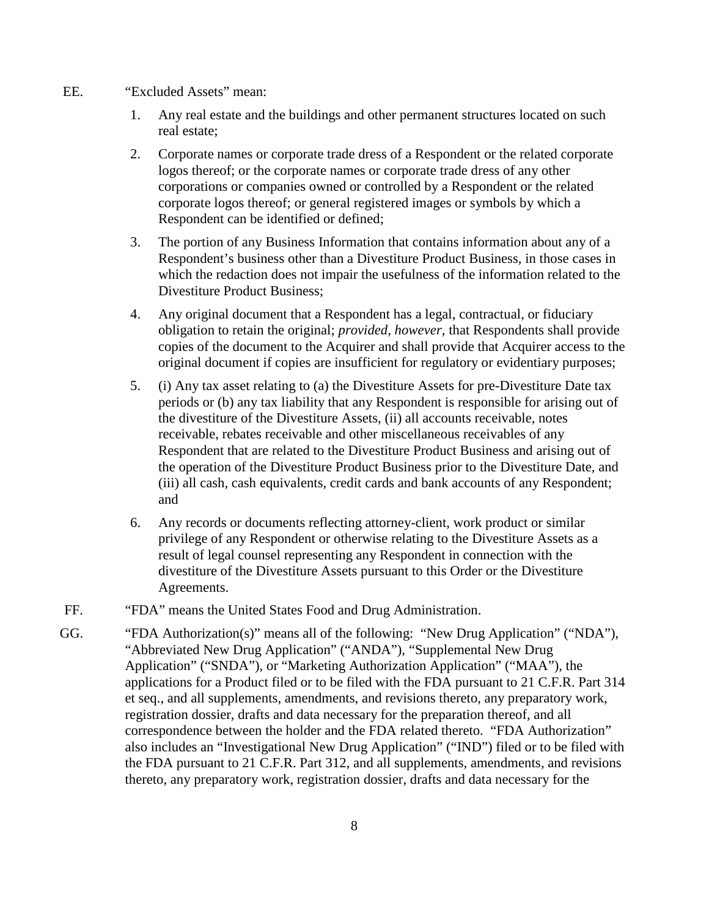- EE. "Excluded Assets" mean:
	- 1. Any real estate and the buildings and other permanent structures located on such real estate;
	- 2. Corporate names or corporate trade dress of a Respondent or the related corporate logos thereof; or the corporate names or corporate trade dress of any other corporations or companies owned or controlled by a Respondent or the related corporate logos thereof; or general registered images or symbols by which a Respondent can be identified or defined;
	- 3. The portion of any Business Information that contains information about any of a Respondent's business other than a Divestiture Product Business, in those cases in which the redaction does not impair the usefulness of the information related to the Divestiture Product Business;
	- 4. Any original document that a Respondent has a legal, contractual, or fiduciary obligation to retain the original; *provided, however,* that Respondents shall provide copies of the document to the Acquirer and shall provide that Acquirer access to the original document if copies are insufficient for regulatory or evidentiary purposes;
	- 5. (i) Any tax asset relating to (a) the Divestiture Assets for pre-Divestiture Date tax periods or (b) any tax liability that any Respondent is responsible for arising out of the divestiture of the Divestiture Assets, (ii) all accounts receivable, notes receivable, rebates receivable and other miscellaneous receivables of any Respondent that are related to the Divestiture Product Business and arising out of the operation of the Divestiture Product Business prior to the Divestiture Date, and (iii) all cash, cash equivalents, credit cards and bank accounts of any Respondent; and
	- 6. Any records or documents reflecting attorney-client, work product or similar privilege of any Respondent or otherwise relating to the Divestiture Assets as a result of legal counsel representing any Respondent in connection with the divestiture of the Divestiture Assets pursuant to this Order or the Divestiture Agreements.
- FF. "FDA" means the United States Food and Drug Administration.
- GG. "FDA Authorization(s)" means all of the following: "New Drug Application" ("NDA"), "Abbreviated New Drug Application" ("ANDA"), "Supplemental New Drug Application" ("SNDA"), or "Marketing Authorization Application" ("MAA"), the applications for a Product filed or to be filed with the FDA pursuant to 21 C.F.R. Part 314 et seq., and all supplements, amendments, and revisions thereto, any preparatory work, registration dossier, drafts and data necessary for the preparation thereof, and all correspondence between the holder and the FDA related thereto. "FDA Authorization" also includes an "Investigational New Drug Application" ("IND") filed or to be filed with the FDA pursuant to 21 C.F.R. Part 312, and all supplements, amendments, and revisions thereto, any preparatory work, registration dossier, drafts and data necessary for the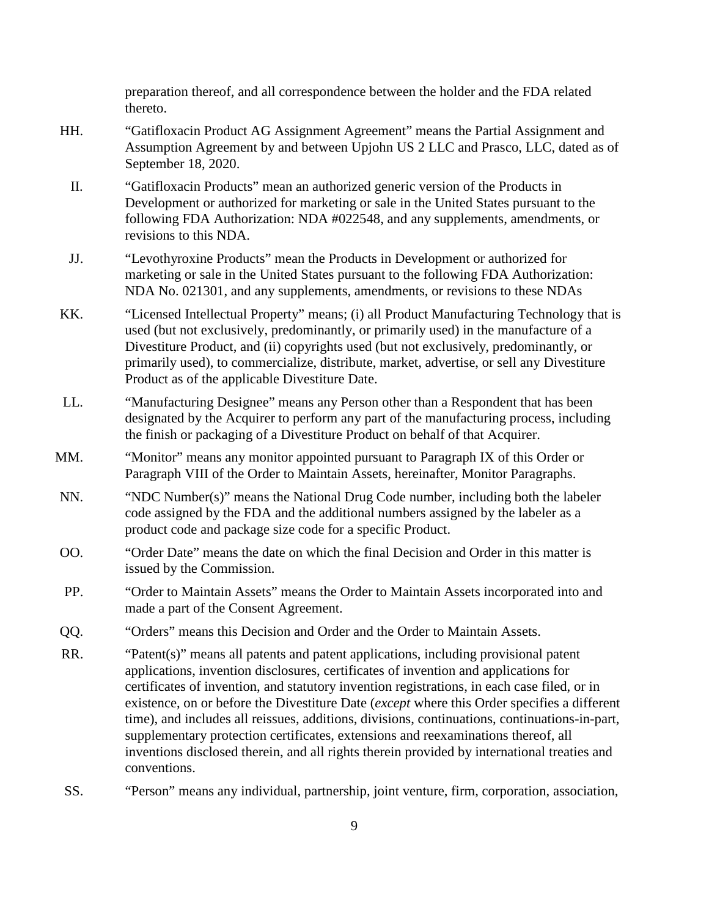preparation thereof, and all correspondence between the holder and the FDA related thereto.

- HH. "Gatifloxacin Product AG Assignment Agreement" means the Partial Assignment and Assumption Agreement by and between Upjohn US 2 LLC and Prasco, LLC, dated as of September 18, 2020.
- II. "Gatifloxacin Products" mean an authorized generic version of the Products in Development or authorized for marketing or sale in the United States pursuant to the following FDA Authorization: NDA #022548, and any supplements, amendments, or revisions to this NDA.
- JJ. "Levothyroxine Products" mean the Products in Development or authorized for marketing or sale in the United States pursuant to the following FDA Authorization: NDA No. 021301, and any supplements, amendments, or revisions to these NDAs
- KK. "Licensed Intellectual Property" means; (i) all Product Manufacturing Technology that is used (but not exclusively, predominantly, or primarily used) in the manufacture of a Divestiture Product, and (ii) copyrights used (but not exclusively, predominantly, or primarily used), to commercialize, distribute, market, advertise, or sell any Divestiture Product as of the applicable Divestiture Date.
- LL. "Manufacturing Designee" means any Person other than a Respondent that has been designated by the Acquirer to perform any part of the manufacturing process, including the finish or packaging of a Divestiture Product on behalf of that Acquirer.
- MM. "Monitor" means any monitor appointed pursuant to Paragraph IX of this Order or Paragraph VIII of the Order to Maintain Assets, hereinafter, Monitor Paragraphs.
- NN. "NDC Number(s)" means the National Drug Code number, including both the labeler code assigned by the FDA and the additional numbers assigned by the labeler as a product code and package size code for a specific Product.
- OO. "Order Date" means the date on which the final Decision and Order in this matter is issued by the Commission.
- PP. "Order to Maintain Assets" means the Order to Maintain Assets incorporated into and made a part of the Consent Agreement.
- QQ. "Orders" means this Decision and Order and the Order to Maintain Assets.
- RR. "Patent(s)" means all patents and patent applications, including provisional patent applications, invention disclosures, certificates of invention and applications for certificates of invention, and statutory invention registrations, in each case filed, or in existence, on or before the Divestiture Date (*except* where this Order specifies a different time), and includes all reissues, additions, divisions, continuations, continuations-in-part, supplementary protection certificates, extensions and reexaminations thereof, all inventions disclosed therein, and all rights therein provided by international treaties and conventions.
- SS. "Person" means any individual, partnership, joint venture, firm, corporation, association,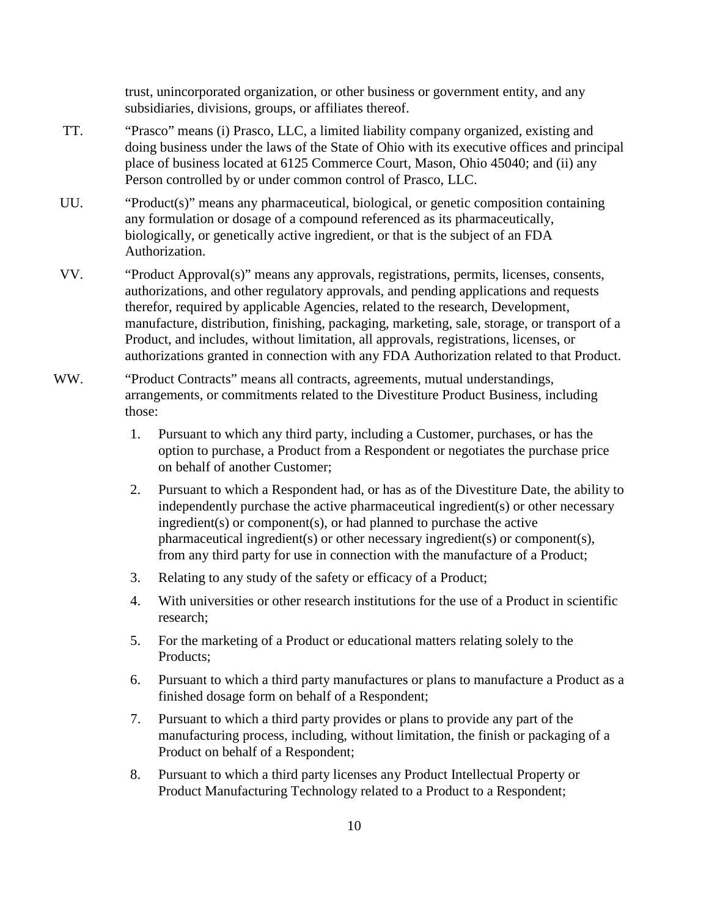trust, unincorporated organization, or other business or government entity, and any subsidiaries, divisions, groups, or affiliates thereof.

- TT. "Prasco" means (i) Prasco, LLC, a limited liability company organized, existing and doing business under the laws of the State of Ohio with its executive offices and principal place of business located at 6125 Commerce Court, Mason, Ohio 45040; and (ii) any Person controlled by or under common control of Prasco, LLC.
- UU. "Product(s)" means any pharmaceutical, biological, or genetic composition containing any formulation or dosage of a compound referenced as its pharmaceutically, biologically, or genetically active ingredient, or that is the subject of an FDA Authorization.
- VV. "Product Approval(s)" means any approvals, registrations, permits, licenses, consents, authorizations, and other regulatory approvals, and pending applications and requests therefor, required by applicable Agencies, related to the research, Development, manufacture, distribution, finishing, packaging, marketing, sale, storage, or transport of a Product, and includes, without limitation, all approvals, registrations, licenses, or authorizations granted in connection with any FDA Authorization related to that Product.
- WW. "Product Contracts" means all contracts, agreements, mutual understandings, arrangements, or commitments related to the Divestiture Product Business, including those:
	- 1. Pursuant to which any third party, including a Customer, purchases, or has the option to purchase, a Product from a Respondent or negotiates the purchase price on behalf of another Customer;
	- 2. Pursuant to which a Respondent had, or has as of the Divestiture Date, the ability to independently purchase the active pharmaceutical ingredient(s) or other necessary ingredient(s) or component(s), or had planned to purchase the active pharmaceutical ingredient(s) or other necessary ingredient(s) or component(s), from any third party for use in connection with the manufacture of a Product;
	- 3. Relating to any study of the safety or efficacy of a Product;
	- 4. With universities or other research institutions for the use of a Product in scientific research;
	- 5. For the marketing of a Product or educational matters relating solely to the Products;
	- 6. Pursuant to which a third party manufactures or plans to manufacture a Product as a finished dosage form on behalf of a Respondent;
	- 7. Pursuant to which a third party provides or plans to provide any part of the manufacturing process, including, without limitation, the finish or packaging of a Product on behalf of a Respondent;
	- 8. Pursuant to which a third party licenses any Product Intellectual Property or Product Manufacturing Technology related to a Product to a Respondent;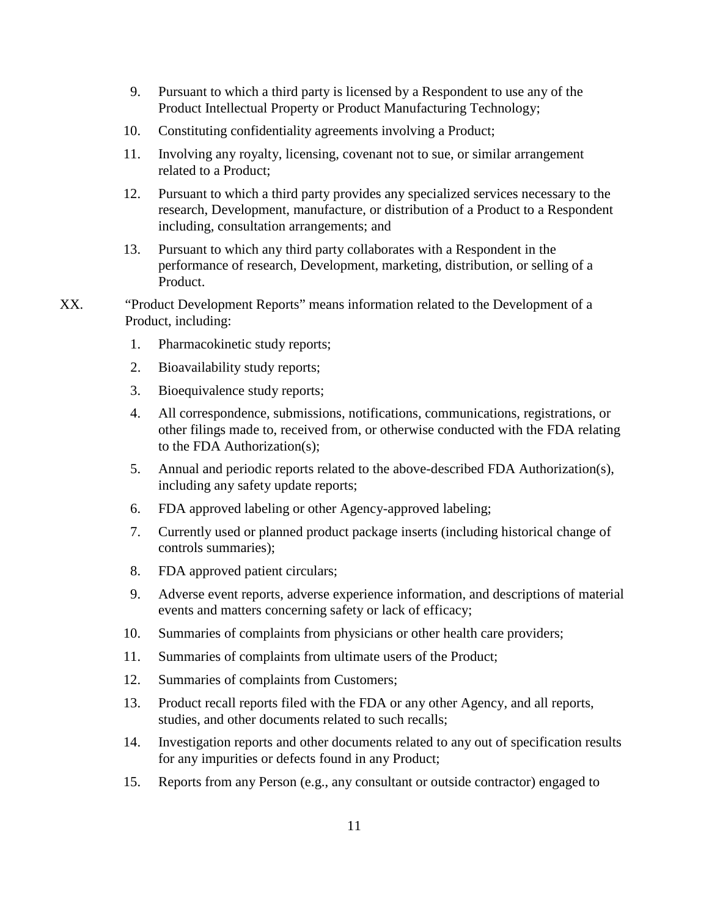- 9. Pursuant to which a third party is licensed by a Respondent to use any of the Product Intellectual Property or Product Manufacturing Technology;
- 10. Constituting confidentiality agreements involving a Product;
- 11. Involving any royalty, licensing, covenant not to sue, or similar arrangement related to a Product;
- 12. Pursuant to which a third party provides any specialized services necessary to the research, Development, manufacture, or distribution of a Product to a Respondent including, consultation arrangements; and
- 13. Pursuant to which any third party collaborates with a Respondent in the performance of research, Development, marketing, distribution, or selling of a Product.
- XX. "Product Development Reports" means information related to the Development of a Product, including:
	- 1. Pharmacokinetic study reports;
	- 2. Bioavailability study reports;
	- 3. Bioequivalence study reports;
	- 4. All correspondence, submissions, notifications, communications, registrations, or other filings made to, received from, or otherwise conducted with the FDA relating to the FDA Authorization(s);
	- 5. Annual and periodic reports related to the above-described FDA Authorization(s), including any safety update reports;
	- 6. FDA approved labeling or other Agency-approved labeling;
	- 7. Currently used or planned product package inserts (including historical change of controls summaries);
	- 8. FDA approved patient circulars;
	- 9. Adverse event reports, adverse experience information, and descriptions of material events and matters concerning safety or lack of efficacy;
	- 10. Summaries of complaints from physicians or other health care providers;
	- 11. Summaries of complaints from ultimate users of the Product;
	- 12. Summaries of complaints from Customers;
	- 13. Product recall reports filed with the FDA or any other Agency, and all reports, studies, and other documents related to such recalls;
	- 14. Investigation reports and other documents related to any out of specification results for any impurities or defects found in any Product;
	- 15. Reports from any Person (e.g., any consultant or outside contractor) engaged to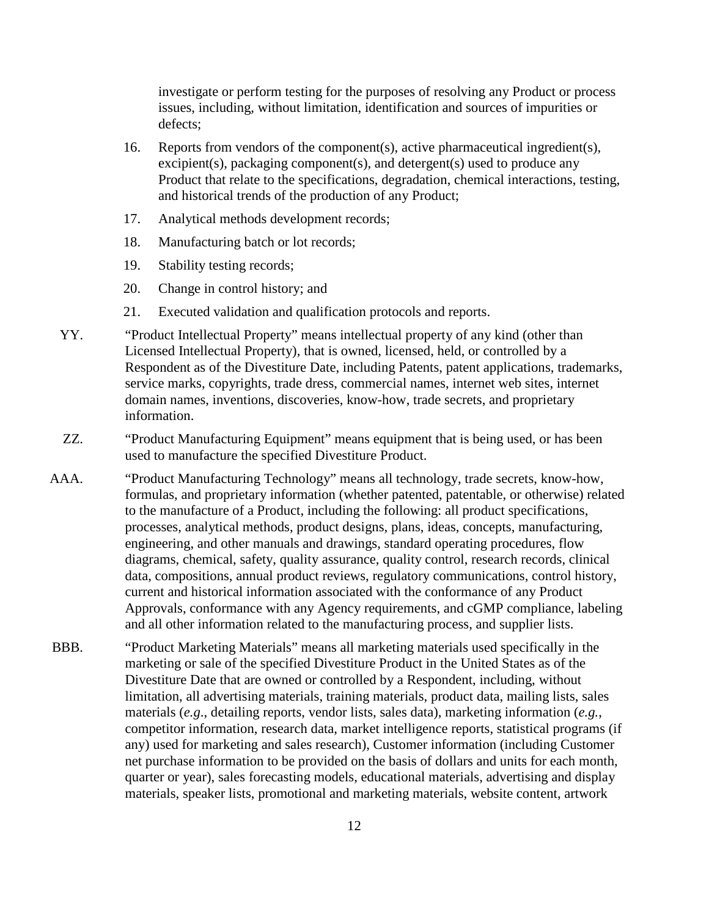investigate or perform testing for the purposes of resolving any Product or process issues, including, without limitation, identification and sources of impurities or defects;

- 16. Reports from vendors of the component(s), active pharmaceutical ingredient(s), excipient(s), packaging component(s), and detergent(s) used to produce any Product that relate to the specifications, degradation, chemical interactions, testing, and historical trends of the production of any Product;
- 17. Analytical methods development records;
- 18. Manufacturing batch or lot records;
- 19. Stability testing records;
- 20. Change in control history; and
- 21. Executed validation and qualification protocols and reports.
- YY. "Product Intellectual Property" means intellectual property of any kind (other than Licensed Intellectual Property), that is owned, licensed, held, or controlled by a Respondent as of the Divestiture Date, including Patents, patent applications, trademarks, service marks, copyrights, trade dress, commercial names, internet web sites, internet domain names, inventions, discoveries, know-how, trade secrets, and proprietary information.
- ZZ. "Product Manufacturing Equipment" means equipment that is being used, or has been used to manufacture the specified Divestiture Product.
- AAA. "Product Manufacturing Technology" means all technology, trade secrets, know-how, formulas, and proprietary information (whether patented, patentable, or otherwise) related to the manufacture of a Product, including the following: all product specifications, processes, analytical methods, product designs, plans, ideas, concepts, manufacturing, engineering, and other manuals and drawings, standard operating procedures, flow diagrams, chemical, safety, quality assurance, quality control, research records, clinical data, compositions, annual product reviews, regulatory communications, control history, current and historical information associated with the conformance of any Product Approvals, conformance with any Agency requirements, and cGMP compliance, labeling and all other information related to the manufacturing process, and supplier lists.
- BBB. "Product Marketing Materials" means all marketing materials used specifically in the marketing or sale of the specified Divestiture Product in the United States as of the Divestiture Date that are owned or controlled by a Respondent, including, without limitation, all advertising materials, training materials, product data, mailing lists, sales materials (*e.g*., detailing reports, vendor lists, sales data), marketing information (*e.g.*, competitor information, research data, market intelligence reports, statistical programs (if any) used for marketing and sales research), Customer information (including Customer net purchase information to be provided on the basis of dollars and units for each month, quarter or year), sales forecasting models, educational materials, advertising and display materials, speaker lists, promotional and marketing materials, website content, artwork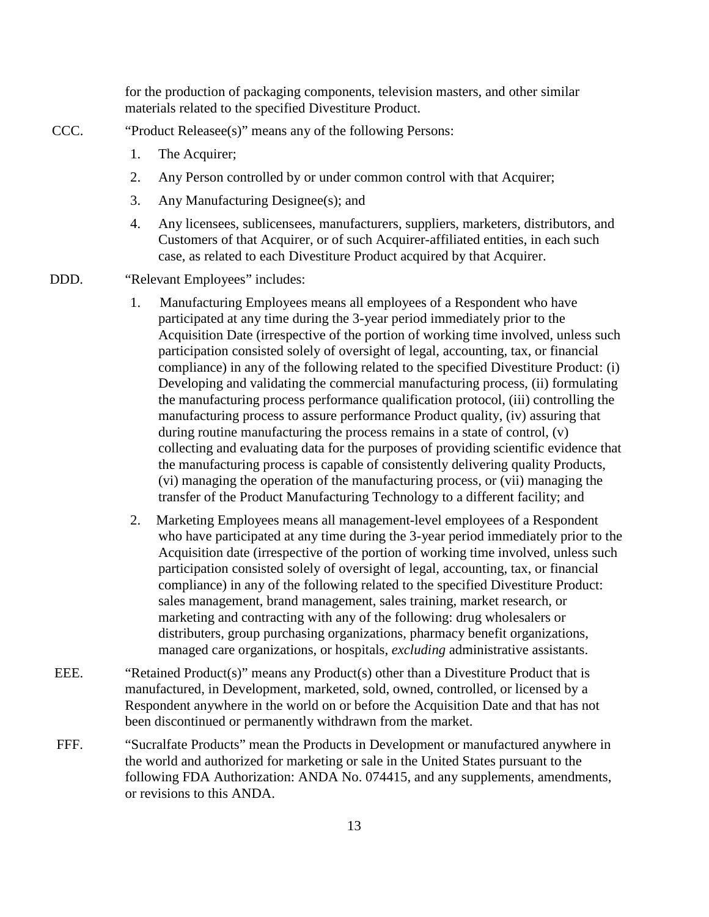for the production of packaging components, television masters, and other similar materials related to the specified Divestiture Product.

- CCC. "Product Releasee(s)" means any of the following Persons:
	- 1. The Acquirer;
	- 2. Any Person controlled by or under common control with that Acquirer;
	- 3. Any Manufacturing Designee(s); and
	- 4. Any licensees, sublicensees, manufacturers, suppliers, marketers, distributors, and Customers of that Acquirer, or of such Acquirer-affiliated entities, in each such case, as related to each Divestiture Product acquired by that Acquirer.
- DDD. "Relevant Employees" includes:
	- 1. Manufacturing Employees means all employees of a Respondent who have participated at any time during the 3-year period immediately prior to the Acquisition Date (irrespective of the portion of working time involved, unless such participation consisted solely of oversight of legal, accounting, tax, or financial compliance) in any of the following related to the specified Divestiture Product: (i) Developing and validating the commercial manufacturing process, (ii) formulating the manufacturing process performance qualification protocol, (iii) controlling the manufacturing process to assure performance Product quality, (iv) assuring that during routine manufacturing the process remains in a state of control, (v) collecting and evaluating data for the purposes of providing scientific evidence that the manufacturing process is capable of consistently delivering quality Products, (vi) managing the operation of the manufacturing process, or (vii) managing the transfer of the Product Manufacturing Technology to a different facility; and
	- 2. Marketing Employees means all management-level employees of a Respondent who have participated at any time during the 3-year period immediately prior to the Acquisition date (irrespective of the portion of working time involved, unless such participation consisted solely of oversight of legal, accounting, tax, or financial compliance) in any of the following related to the specified Divestiture Product: sales management, brand management, sales training, market research, or marketing and contracting with any of the following: drug wholesalers or distributers, group purchasing organizations, pharmacy benefit organizations, managed care organizations, or hospitals, *excluding* administrative assistants.
- EEE. "Retained Product(s)" means any Product(s) other than a Divestiture Product that is manufactured, in Development, marketed, sold, owned, controlled, or licensed by a Respondent anywhere in the world on or before the Acquisition Date and that has not been discontinued or permanently withdrawn from the market.
- FFF. "Sucralfate Products" mean the Products in Development or manufactured anywhere in the world and authorized for marketing or sale in the United States pursuant to the following FDA Authorization: ANDA No. 074415, and any supplements, amendments, or revisions to this ANDA.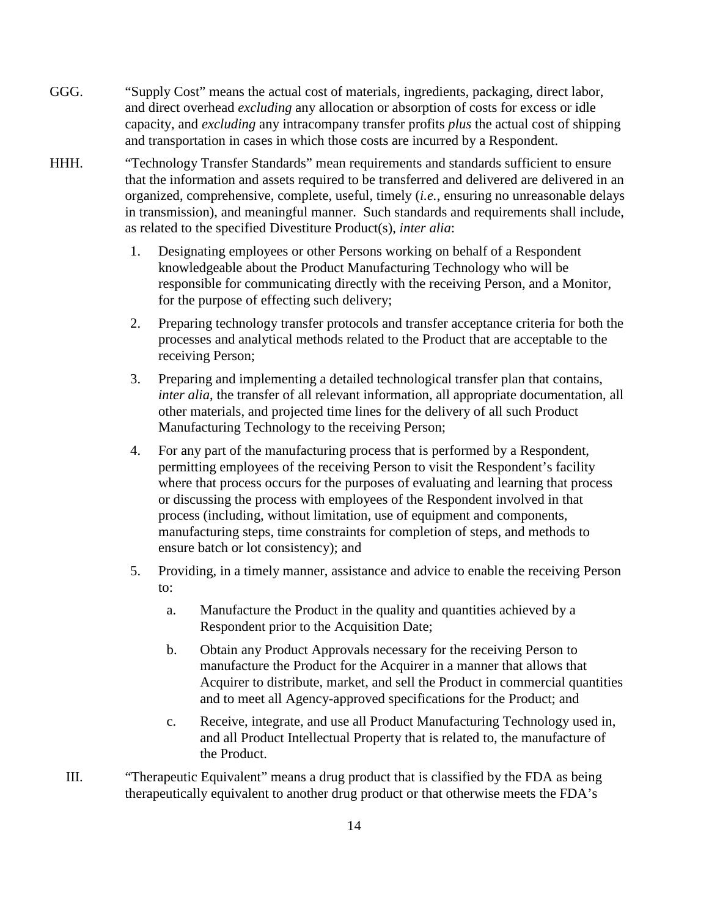- GGG. "Supply Cost" means the actual cost of materials, ingredients, packaging, direct labor, and direct overhead *excluding* any allocation or absorption of costs for excess or idle capacity, and *excluding* any intracompany transfer profits *plus* the actual cost of shipping and transportation in cases in which those costs are incurred by a Respondent.
- HHH. "Technology Transfer Standards" mean requirements and standards sufficient to ensure that the information and assets required to be transferred and delivered are delivered in an organized, comprehensive, complete, useful, timely (*i.e.*, ensuring no unreasonable delays in transmission), and meaningful manner. Such standards and requirements shall include, as related to the specified Divestiture Product(s), *inter alia*:
	- 1. Designating employees or other Persons working on behalf of a Respondent knowledgeable about the Product Manufacturing Technology who will be responsible for communicating directly with the receiving Person, and a Monitor, for the purpose of effecting such delivery;
	- 2. Preparing technology transfer protocols and transfer acceptance criteria for both the processes and analytical methods related to the Product that are acceptable to the receiving Person;
	- 3. Preparing and implementing a detailed technological transfer plan that contains, *inter alia*, the transfer of all relevant information, all appropriate documentation, all other materials, and projected time lines for the delivery of all such Product Manufacturing Technology to the receiving Person;
	- 4. For any part of the manufacturing process that is performed by a Respondent, permitting employees of the receiving Person to visit the Respondent's facility where that process occurs for the purposes of evaluating and learning that process or discussing the process with employees of the Respondent involved in that process (including, without limitation, use of equipment and components, manufacturing steps, time constraints for completion of steps, and methods to ensure batch or lot consistency); and
	- 5. Providing, in a timely manner, assistance and advice to enable the receiving Person to:
		- a. Manufacture the Product in the quality and quantities achieved by a Respondent prior to the Acquisition Date;
		- b. Obtain any Product Approvals necessary for the receiving Person to manufacture the Product for the Acquirer in a manner that allows that Acquirer to distribute, market, and sell the Product in commercial quantities and to meet all Agency-approved specifications for the Product; and
		- c. Receive, integrate, and use all Product Manufacturing Technology used in, and all Product Intellectual Property that is related to, the manufacture of the Product.
	- III. "Therapeutic Equivalent" means a drug product that is classified by the FDA as being therapeutically equivalent to another drug product or that otherwise meets the FDA's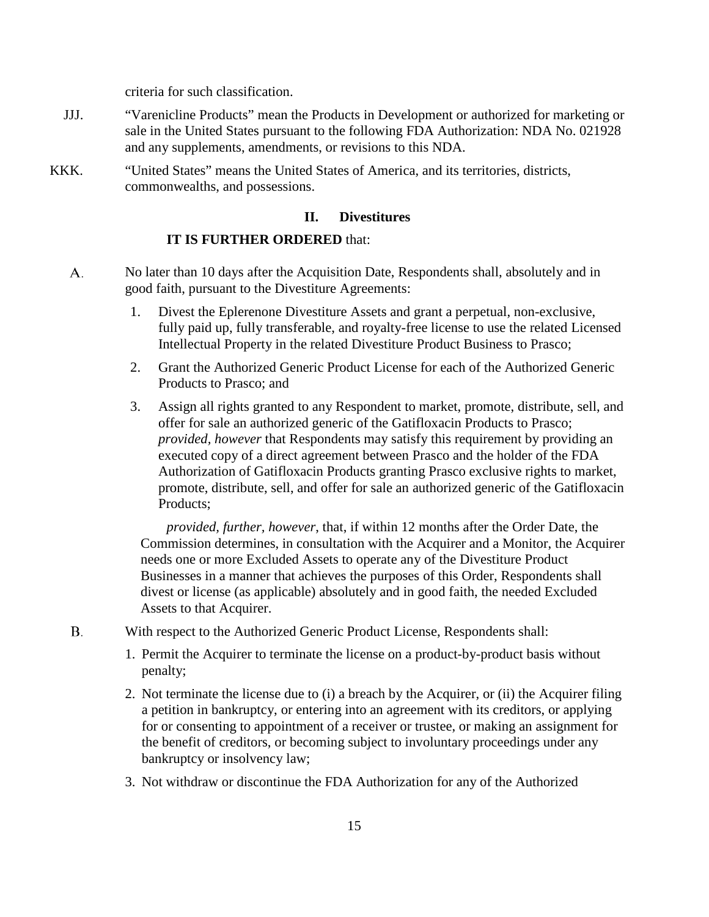criteria for such classification.

- JJJ. "Varenicline Products" mean the Products in Development or authorized for marketing or sale in the United States pursuant to the following FDA Authorization: NDA No. 021928 and any supplements, amendments, or revisions to this NDA.
- KKK. "United States" means the United States of America, and its territories, districts, commonwealths, and possessions.

### **II. Divestitures**

#### **IT IS FURTHER ORDERED** that:

- А. No later than 10 days after the Acquisition Date, Respondents shall, absolutely and in good faith, pursuant to the Divestiture Agreements:
	- 1. Divest the Eplerenone Divestiture Assets and grant a perpetual, non-exclusive, fully paid up, fully transferable, and royalty-free license to use the related Licensed Intellectual Property in the related Divestiture Product Business to Prasco;
	- 2. Grant the Authorized Generic Product License for each of the Authorized Generic Products to Prasco; and
	- 3. Assign all rights granted to any Respondent to market, promote, distribute, sell, and offer for sale an authorized generic of the Gatifloxacin Products to Prasco; *provided, however* that Respondents may satisfy this requirement by providing an executed copy of a direct agreement between Prasco and the holder of the FDA Authorization of Gatifloxacin Products granting Prasco exclusive rights to market, promote, distribute, sell, and offer for sale an authorized generic of the Gatifloxacin Products;

*provided, further, however*, that, if within 12 months after the Order Date, the Commission determines, in consultation with the Acquirer and a Monitor, the Acquirer needs one or more Excluded Assets to operate any of the Divestiture Product Businesses in a manner that achieves the purposes of this Order, Respondents shall divest or license (as applicable) absolutely and in good faith, the needed Excluded Assets to that Acquirer.

- Β. With respect to the Authorized Generic Product License, Respondents shall:
	- 1. Permit the Acquirer to terminate the license on a product-by-product basis without penalty;
	- 2. Not terminate the license due to (i) a breach by the Acquirer, or (ii) the Acquirer filing a petition in bankruptcy, or entering into an agreement with its creditors, or applying for or consenting to appointment of a receiver or trustee, or making an assignment for the benefit of creditors, or becoming subject to involuntary proceedings under any bankruptcy or insolvency law;
	- 3. Not withdraw or discontinue the FDA Authorization for any of the Authorized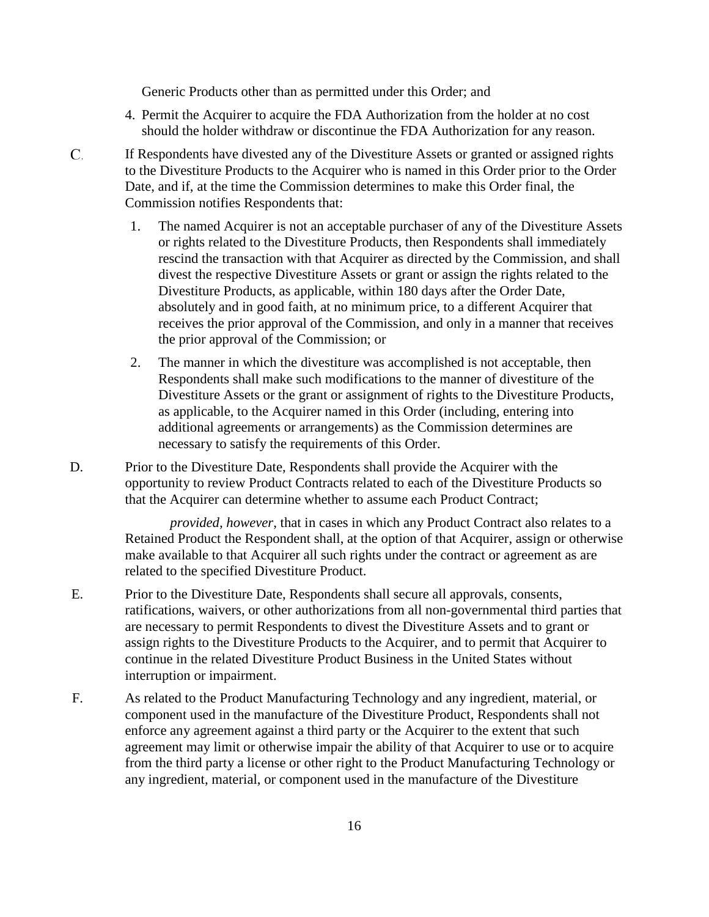Generic Products other than as permitted under this Order; and

- 4. Permit the Acquirer to acquire the FDA Authorization from the holder at no cost should the holder withdraw or discontinue the FDA Authorization for any reason.
- $C_{\cdot}$ If Respondents have divested any of the Divestiture Assets or granted or assigned rights to the Divestiture Products to the Acquirer who is named in this Order prior to the Order Date, and if, at the time the Commission determines to make this Order final, the Commission notifies Respondents that:
	- 1. The named Acquirer is not an acceptable purchaser of any of the Divestiture Assets or rights related to the Divestiture Products, then Respondents shall immediately rescind the transaction with that Acquirer as directed by the Commission, and shall divest the respective Divestiture Assets or grant or assign the rights related to the Divestiture Products, as applicable, within 180 days after the Order Date, absolutely and in good faith, at no minimum price, to a different Acquirer that receives the prior approval of the Commission, and only in a manner that receives the prior approval of the Commission; or
	- 2. The manner in which the divestiture was accomplished is not acceptable, then Respondents shall make such modifications to the manner of divestiture of the Divestiture Assets or the grant or assignment of rights to the Divestiture Products, as applicable, to the Acquirer named in this Order (including, entering into additional agreements or arrangements) as the Commission determines are necessary to satisfy the requirements of this Order.
- D. Prior to the Divestiture Date, Respondents shall provide the Acquirer with the opportunity to review Product Contracts related to each of the Divestiture Products so that the Acquirer can determine whether to assume each Product Contract;

*provided, however*, that in cases in which any Product Contract also relates to a Retained Product the Respondent shall, at the option of that Acquirer, assign or otherwise make available to that Acquirer all such rights under the contract or agreement as are related to the specified Divestiture Product.

- E. Prior to the Divestiture Date, Respondents shall secure all approvals, consents, ratifications, waivers, or other authorizations from all non-governmental third parties that are necessary to permit Respondents to divest the Divestiture Assets and to grant or assign rights to the Divestiture Products to the Acquirer, and to permit that Acquirer to continue in the related Divestiture Product Business in the United States without interruption or impairment.
- F. As related to the Product Manufacturing Technology and any ingredient, material, or component used in the manufacture of the Divestiture Product, Respondents shall not enforce any agreement against a third party or the Acquirer to the extent that such agreement may limit or otherwise impair the ability of that Acquirer to use or to acquire from the third party a license or other right to the Product Manufacturing Technology or any ingredient, material, or component used in the manufacture of the Divestiture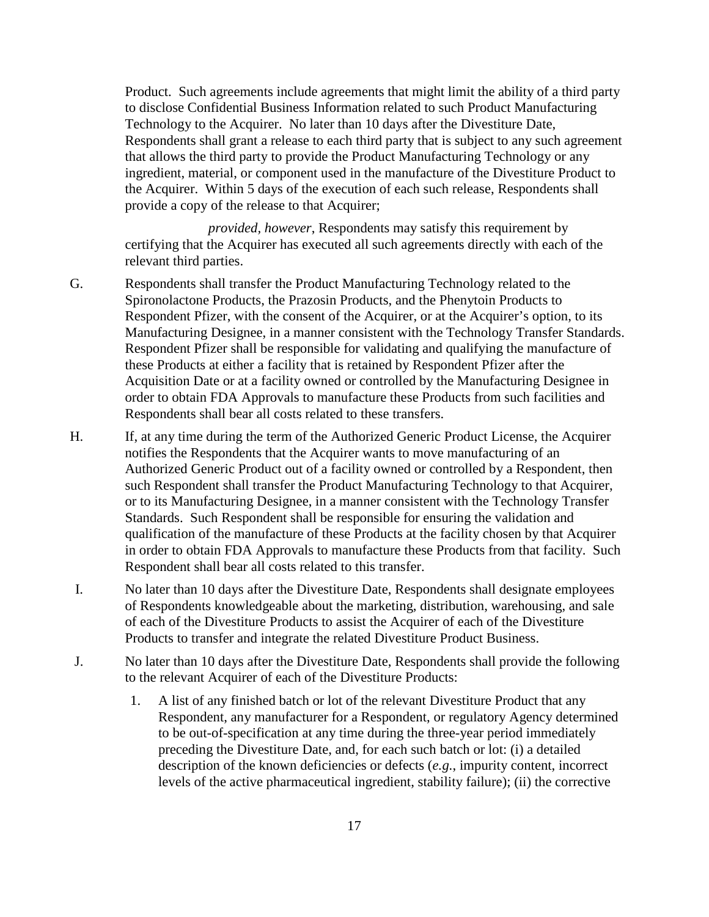Product. Such agreements include agreements that might limit the ability of a third party to disclose Confidential Business Information related to such Product Manufacturing Technology to the Acquirer. No later than 10 days after the Divestiture Date, Respondents shall grant a release to each third party that is subject to any such agreement that allows the third party to provide the Product Manufacturing Technology or any ingredient, material, or component used in the manufacture of the Divestiture Product to the Acquirer. Within 5 days of the execution of each such release, Respondents shall provide a copy of the release to that Acquirer;

*provided, however*, Respondents may satisfy this requirement by certifying that the Acquirer has executed all such agreements directly with each of the relevant third parties.

- G. Respondents shall transfer the Product Manufacturing Technology related to the Spironolactone Products, the Prazosin Products, and the Phenytoin Products to Respondent Pfizer, with the consent of the Acquirer, or at the Acquirer's option, to its Manufacturing Designee, in a manner consistent with the Technology Transfer Standards. Respondent Pfizer shall be responsible for validating and qualifying the manufacture of these Products at either a facility that is retained by Respondent Pfizer after the Acquisition Date or at a facility owned or controlled by the Manufacturing Designee in order to obtain FDA Approvals to manufacture these Products from such facilities and Respondents shall bear all costs related to these transfers.
- H. If, at any time during the term of the Authorized Generic Product License, the Acquirer notifies the Respondents that the Acquirer wants to move manufacturing of an Authorized Generic Product out of a facility owned or controlled by a Respondent, then such Respondent shall transfer the Product Manufacturing Technology to that Acquirer, or to its Manufacturing Designee, in a manner consistent with the Technology Transfer Standards. Such Respondent shall be responsible for ensuring the validation and qualification of the manufacture of these Products at the facility chosen by that Acquirer in order to obtain FDA Approvals to manufacture these Products from that facility. Such Respondent shall bear all costs related to this transfer.
- I. No later than 10 days after the Divestiture Date, Respondents shall designate employees of Respondents knowledgeable about the marketing, distribution, warehousing, and sale of each of the Divestiture Products to assist the Acquirer of each of the Divestiture Products to transfer and integrate the related Divestiture Product Business.
- J. No later than 10 days after the Divestiture Date, Respondents shall provide the following to the relevant Acquirer of each of the Divestiture Products:
	- 1. A list of any finished batch or lot of the relevant Divestiture Product that any Respondent, any manufacturer for a Respondent, or regulatory Agency determined to be out-of-specification at any time during the three-year period immediately preceding the Divestiture Date, and, for each such batch or lot: (i) a detailed description of the known deficiencies or defects (*e.g.*, impurity content, incorrect levels of the active pharmaceutical ingredient, stability failure); (ii) the corrective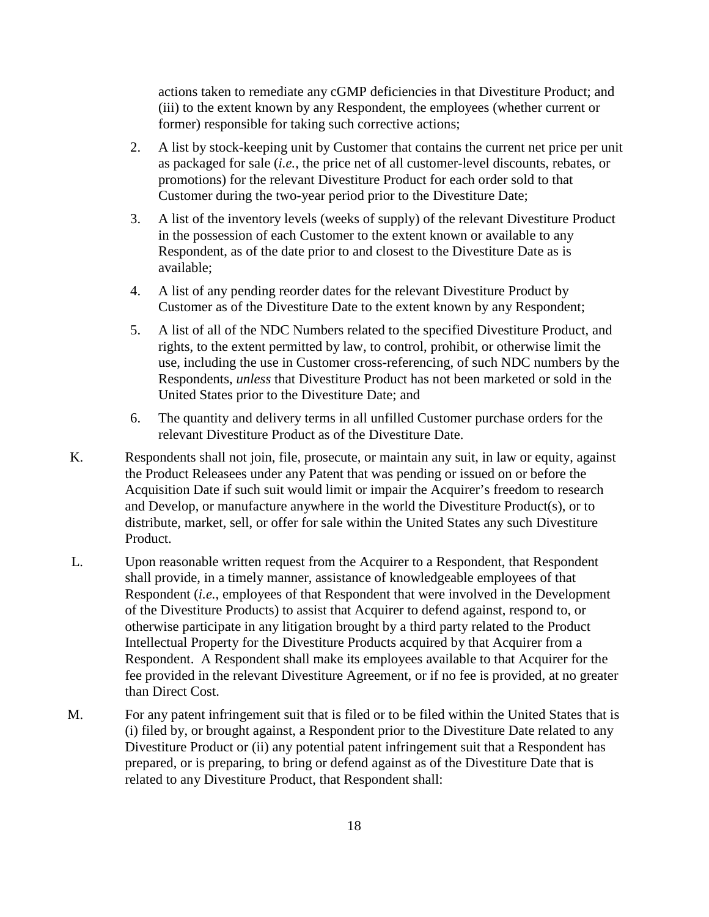actions taken to remediate any cGMP deficiencies in that Divestiture Product; and (iii) to the extent known by any Respondent, the employees (whether current or former) responsible for taking such corrective actions;

- 2. A list by stock-keeping unit by Customer that contains the current net price per unit as packaged for sale (*i.e.*, the price net of all customer-level discounts, rebates, or promotions) for the relevant Divestiture Product for each order sold to that Customer during the two-year period prior to the Divestiture Date;
- 3. A list of the inventory levels (weeks of supply) of the relevant Divestiture Product in the possession of each Customer to the extent known or available to any Respondent, as of the date prior to and closest to the Divestiture Date as is available;
- 4. A list of any pending reorder dates for the relevant Divestiture Product by Customer as of the Divestiture Date to the extent known by any Respondent;
- 5. A list of all of the NDC Numbers related to the specified Divestiture Product, and rights, to the extent permitted by law, to control, prohibit, or otherwise limit the use, including the use in Customer cross-referencing, of such NDC numbers by the Respondents, *unless* that Divestiture Product has not been marketed or sold in the United States prior to the Divestiture Date; and
- 6. The quantity and delivery terms in all unfilled Customer purchase orders for the relevant Divestiture Product as of the Divestiture Date.
- K. Respondents shall not join, file, prosecute, or maintain any suit, in law or equity, against the Product Releasees under any Patent that was pending or issued on or before the Acquisition Date if such suit would limit or impair the Acquirer's freedom to research and Develop, or manufacture anywhere in the world the Divestiture Product(s), or to distribute, market, sell, or offer for sale within the United States any such Divestiture Product.
- L. Upon reasonable written request from the Acquirer to a Respondent, that Respondent shall provide, in a timely manner, assistance of knowledgeable employees of that Respondent (*i.e.*, employees of that Respondent that were involved in the Development of the Divestiture Products) to assist that Acquirer to defend against, respond to, or otherwise participate in any litigation brought by a third party related to the Product Intellectual Property for the Divestiture Products acquired by that Acquirer from a Respondent. A Respondent shall make its employees available to that Acquirer for the fee provided in the relevant Divestiture Agreement, or if no fee is provided, at no greater than Direct Cost.
- M. For any patent infringement suit that is filed or to be filed within the United States that is (i) filed by, or brought against, a Respondent prior to the Divestiture Date related to any Divestiture Product or (ii) any potential patent infringement suit that a Respondent has prepared, or is preparing, to bring or defend against as of the Divestiture Date that is related to any Divestiture Product, that Respondent shall: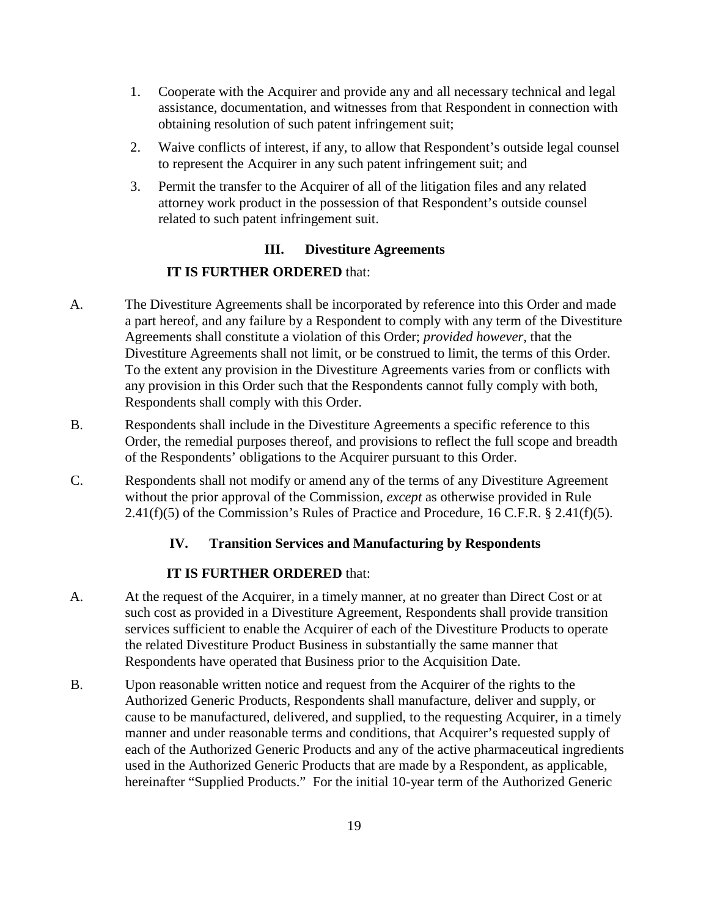- 1. Cooperate with the Acquirer and provide any and all necessary technical and legal assistance, documentation, and witnesses from that Respondent in connection with obtaining resolution of such patent infringement suit;
- 2. Waive conflicts of interest, if any, to allow that Respondent's outside legal counsel to represent the Acquirer in any such patent infringement suit; and
- 3. Permit the transfer to the Acquirer of all of the litigation files and any related attorney work product in the possession of that Respondent's outside counsel related to such patent infringement suit.

## **III. Divestiture Agreements**

### **IT IS FURTHER ORDERED** that:

- A. The Divestiture Agreements shall be incorporated by reference into this Order and made a part hereof, and any failure by a Respondent to comply with any term of the Divestiture Agreements shall constitute a violation of this Order; *provided however*, that the Divestiture Agreements shall not limit, or be construed to limit, the terms of this Order. To the extent any provision in the Divestiture Agreements varies from or conflicts with any provision in this Order such that the Respondents cannot fully comply with both, Respondents shall comply with this Order.
- B. Respondents shall include in the Divestiture Agreements a specific reference to this Order, the remedial purposes thereof, and provisions to reflect the full scope and breadth of the Respondents' obligations to the Acquirer pursuant to this Order.
- C. Respondents shall not modify or amend any of the terms of any Divestiture Agreement without the prior approval of the Commission, *except* as otherwise provided in Rule  $2.41(f)(5)$  of the Commission's Rules of Practice and Procedure, 16 C.F.R. § 2.41(f)(5).

## **IV. Transition Services and Manufacturing by Respondents**

## **IT IS FURTHER ORDERED** that:

- A. At the request of the Acquirer, in a timely manner, at no greater than Direct Cost or at such cost as provided in a Divestiture Agreement, Respondents shall provide transition services sufficient to enable the Acquirer of each of the Divestiture Products to operate the related Divestiture Product Business in substantially the same manner that Respondents have operated that Business prior to the Acquisition Date.
- B. Upon reasonable written notice and request from the Acquirer of the rights to the Authorized Generic Products, Respondents shall manufacture, deliver and supply, or cause to be manufactured, delivered, and supplied, to the requesting Acquirer, in a timely manner and under reasonable terms and conditions, that Acquirer's requested supply of each of the Authorized Generic Products and any of the active pharmaceutical ingredients used in the Authorized Generic Products that are made by a Respondent, as applicable, hereinafter "Supplied Products." For the initial 10-year term of the Authorized Generic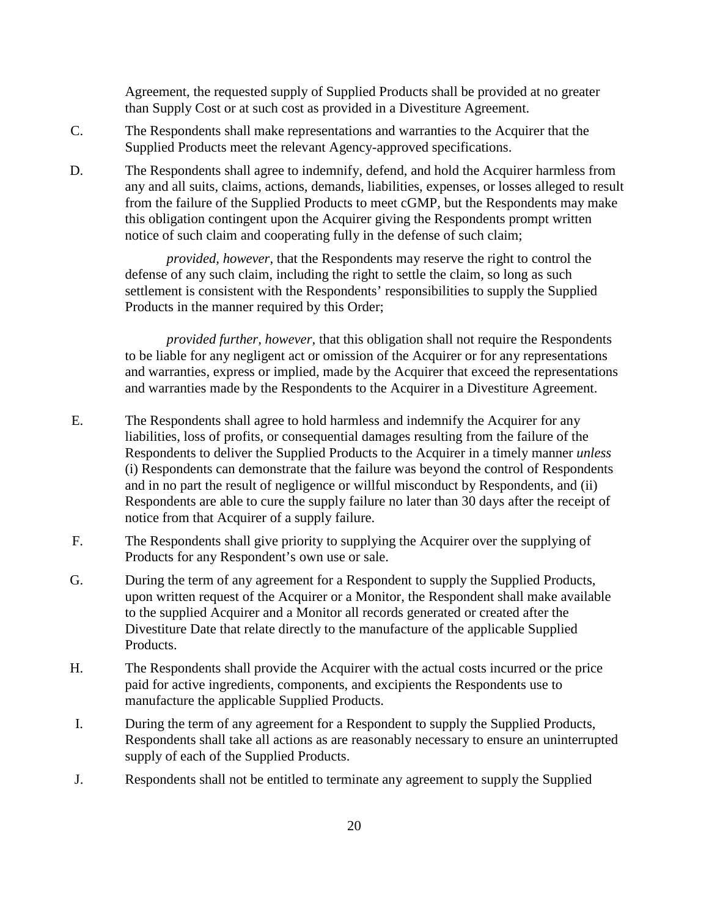Agreement, the requested supply of Supplied Products shall be provided at no greater than Supply Cost or at such cost as provided in a Divestiture Agreement.

- C. The Respondents shall make representations and warranties to the Acquirer that the Supplied Products meet the relevant Agency-approved specifications.
- D. The Respondents shall agree to indemnify, defend, and hold the Acquirer harmless from any and all suits, claims, actions, demands, liabilities, expenses, or losses alleged to result from the failure of the Supplied Products to meet cGMP, but the Respondents may make this obligation contingent upon the Acquirer giving the Respondents prompt written notice of such claim and cooperating fully in the defense of such claim;

*provided, however*, that the Respondents may reserve the right to control the defense of any such claim, including the right to settle the claim, so long as such settlement is consistent with the Respondents' responsibilities to supply the Supplied Products in the manner required by this Order;

*provided further, however,* that this obligation shall not require the Respondents to be liable for any negligent act or omission of the Acquirer or for any representations and warranties, express or implied, made by the Acquirer that exceed the representations and warranties made by the Respondents to the Acquirer in a Divestiture Agreement.

- E. The Respondents shall agree to hold harmless and indemnify the Acquirer for any liabilities, loss of profits, or consequential damages resulting from the failure of the Respondents to deliver the Supplied Products to the Acquirer in a timely manner *unless* (i) Respondents can demonstrate that the failure was beyond the control of Respondents and in no part the result of negligence or willful misconduct by Respondents, and (ii) Respondents are able to cure the supply failure no later than 30 days after the receipt of notice from that Acquirer of a supply failure.
- F. The Respondents shall give priority to supplying the Acquirer over the supplying of Products for any Respondent's own use or sale.
- G. During the term of any agreement for a Respondent to supply the Supplied Products, upon written request of the Acquirer or a Monitor, the Respondent shall make available to the supplied Acquirer and a Monitor all records generated or created after the Divestiture Date that relate directly to the manufacture of the applicable Supplied Products.
- H. The Respondents shall provide the Acquirer with the actual costs incurred or the price paid for active ingredients, components, and excipients the Respondents use to manufacture the applicable Supplied Products.
- I. During the term of any agreement for a Respondent to supply the Supplied Products, Respondents shall take all actions as are reasonably necessary to ensure an uninterrupted supply of each of the Supplied Products.
- J. Respondents shall not be entitled to terminate any agreement to supply the Supplied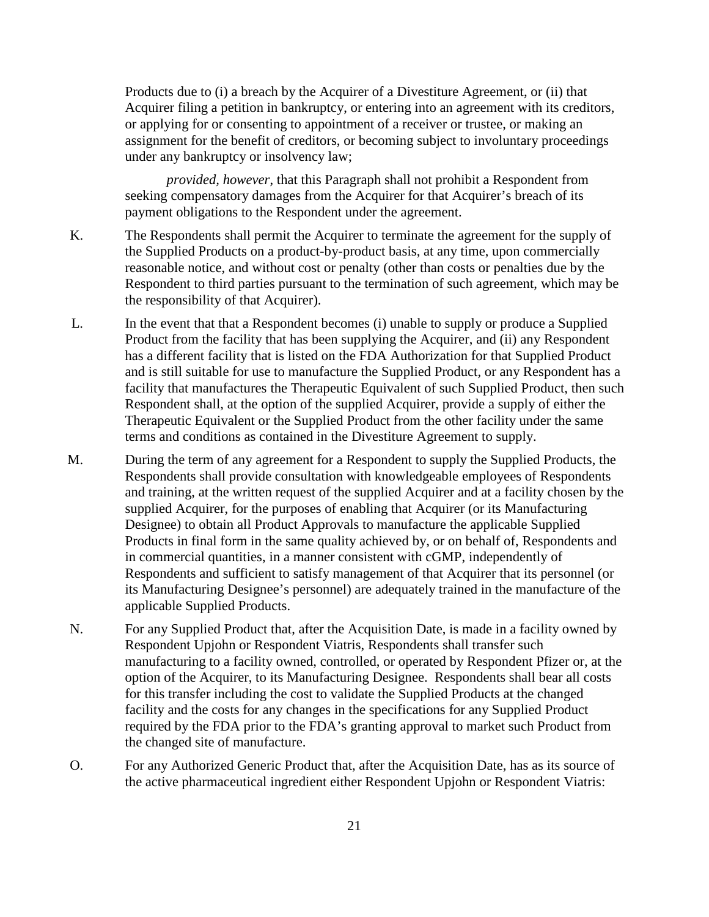Products due to (i) a breach by the Acquirer of a Divestiture Agreement, or (ii) that Acquirer filing a petition in bankruptcy, or entering into an agreement with its creditors, or applying for or consenting to appointment of a receiver or trustee, or making an assignment for the benefit of creditors, or becoming subject to involuntary proceedings under any bankruptcy or insolvency law;

*provided, however*, that this Paragraph shall not prohibit a Respondent from seeking compensatory damages from the Acquirer for that Acquirer's breach of its payment obligations to the Respondent under the agreement.

- K. The Respondents shall permit the Acquirer to terminate the agreement for the supply of the Supplied Products on a product-by-product basis, at any time, upon commercially reasonable notice, and without cost or penalty (other than costs or penalties due by the Respondent to third parties pursuant to the termination of such agreement, which may be the responsibility of that Acquirer).
- L. In the event that that a Respondent becomes (i) unable to supply or produce a Supplied Product from the facility that has been supplying the Acquirer, and (ii) any Respondent has a different facility that is listed on the FDA Authorization for that Supplied Product and is still suitable for use to manufacture the Supplied Product, or any Respondent has a facility that manufactures the Therapeutic Equivalent of such Supplied Product, then such Respondent shall, at the option of the supplied Acquirer, provide a supply of either the Therapeutic Equivalent or the Supplied Product from the other facility under the same terms and conditions as contained in the Divestiture Agreement to supply.
- M. During the term of any agreement for a Respondent to supply the Supplied Products, the Respondents shall provide consultation with knowledgeable employees of Respondents and training, at the written request of the supplied Acquirer and at a facility chosen by the supplied Acquirer, for the purposes of enabling that Acquirer (or its Manufacturing Designee) to obtain all Product Approvals to manufacture the applicable Supplied Products in final form in the same quality achieved by, or on behalf of, Respondents and in commercial quantities, in a manner consistent with cGMP, independently of Respondents and sufficient to satisfy management of that Acquirer that its personnel (or its Manufacturing Designee's personnel) are adequately trained in the manufacture of the applicable Supplied Products.
- N. For any Supplied Product that, after the Acquisition Date, is made in a facility owned by Respondent Upjohn or Respondent Viatris, Respondents shall transfer such manufacturing to a facility owned, controlled, or operated by Respondent Pfizer or, at the option of the Acquirer, to its Manufacturing Designee. Respondents shall bear all costs for this transfer including the cost to validate the Supplied Products at the changed facility and the costs for any changes in the specifications for any Supplied Product required by the FDA prior to the FDA's granting approval to market such Product from the changed site of manufacture.
- O. For any Authorized Generic Product that, after the Acquisition Date, has as its source of the active pharmaceutical ingredient either Respondent Upjohn or Respondent Viatris: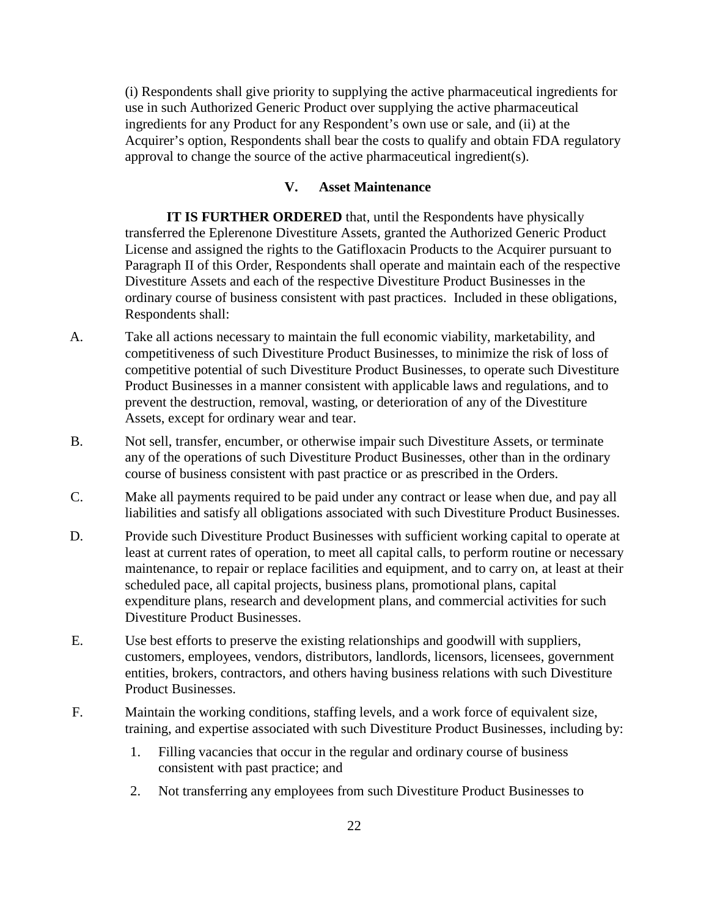(i) Respondents shall give priority to supplying the active pharmaceutical ingredients for use in such Authorized Generic Product over supplying the active pharmaceutical ingredients for any Product for any Respondent's own use or sale, and (ii) at the Acquirer's option, Respondents shall bear the costs to qualify and obtain FDA regulatory approval to change the source of the active pharmaceutical ingredient(s).

#### **V. Asset Maintenance**

**IT IS FURTHER ORDERED** that, until the Respondents have physically transferred the Eplerenone Divestiture Assets, granted the Authorized Generic Product License and assigned the rights to the Gatifloxacin Products to the Acquirer pursuant to Paragraph II of this Order, Respondents shall operate and maintain each of the respective Divestiture Assets and each of the respective Divestiture Product Businesses in the ordinary course of business consistent with past practices. Included in these obligations, Respondents shall:

- A. Take all actions necessary to maintain the full economic viability, marketability, and competitiveness of such Divestiture Product Businesses, to minimize the risk of loss of competitive potential of such Divestiture Product Businesses, to operate such Divestiture Product Businesses in a manner consistent with applicable laws and regulations, and to prevent the destruction, removal, wasting, or deterioration of any of the Divestiture Assets, except for ordinary wear and tear.
- B. Not sell, transfer, encumber, or otherwise impair such Divestiture Assets, or terminate any of the operations of such Divestiture Product Businesses, other than in the ordinary course of business consistent with past practice or as prescribed in the Orders.
- C. Make all payments required to be paid under any contract or lease when due, and pay all liabilities and satisfy all obligations associated with such Divestiture Product Businesses.
- D. Provide such Divestiture Product Businesses with sufficient working capital to operate at least at current rates of operation, to meet all capital calls, to perform routine or necessary maintenance, to repair or replace facilities and equipment, and to carry on, at least at their scheduled pace, all capital projects, business plans, promotional plans, capital expenditure plans, research and development plans, and commercial activities for such Divestiture Product Businesses.
- E. Use best efforts to preserve the existing relationships and goodwill with suppliers, customers, employees, vendors, distributors, landlords, licensors, licensees, government entities, brokers, contractors, and others having business relations with such Divestiture Product Businesses.
- F. Maintain the working conditions, staffing levels, and a work force of equivalent size, training, and expertise associated with such Divestiture Product Businesses, including by:
	- 1. Filling vacancies that occur in the regular and ordinary course of business consistent with past practice; and
	- 2. Not transferring any employees from such Divestiture Product Businesses to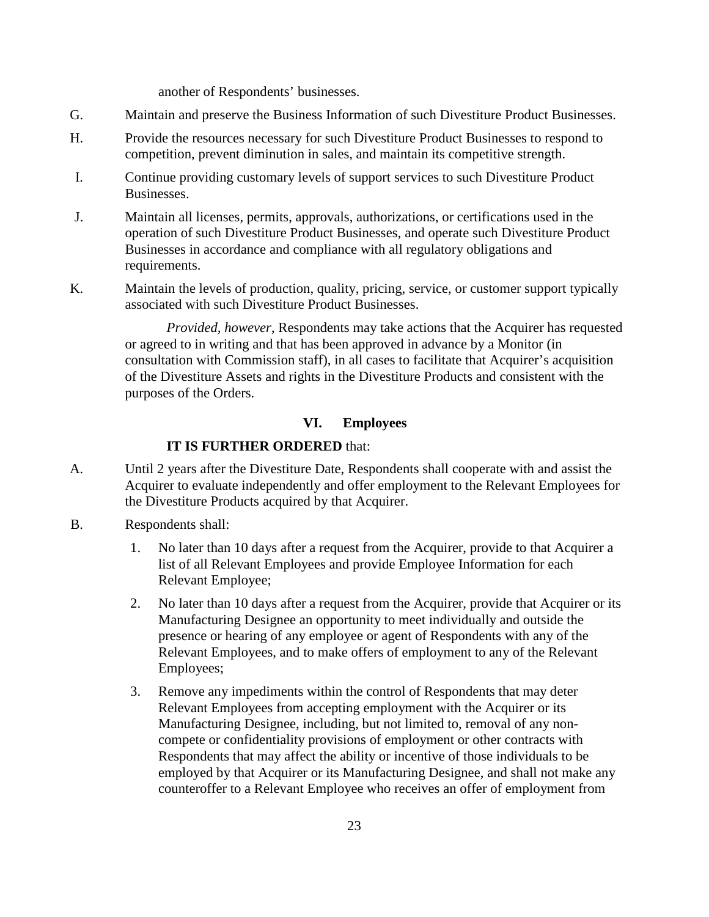another of Respondents' businesses.

- G. Maintain and preserve the Business Information of such Divestiture Product Businesses.
- H. Provide the resources necessary for such Divestiture Product Businesses to respond to competition, prevent diminution in sales, and maintain its competitive strength.
- I. Continue providing customary levels of support services to such Divestiture Product Businesses.
- J. Maintain all licenses, permits, approvals, authorizations, or certifications used in the operation of such Divestiture Product Businesses, and operate such Divestiture Product Businesses in accordance and compliance with all regulatory obligations and requirements.
- K. Maintain the levels of production, quality, pricing, service, or customer support typically associated with such Divestiture Product Businesses.

*Provided, however*, Respondents may take actions that the Acquirer has requested or agreed to in writing and that has been approved in advance by a Monitor (in consultation with Commission staff), in all cases to facilitate that Acquirer's acquisition of the Divestiture Assets and rights in the Divestiture Products and consistent with the purposes of the Orders.

#### **VI. Employees**

### **IT IS FURTHER ORDERED** that:

- A. Until 2 years after the Divestiture Date, Respondents shall cooperate with and assist the Acquirer to evaluate independently and offer employment to the Relevant Employees for the Divestiture Products acquired by that Acquirer.
- B. Respondents shall:
	- 1. No later than 10 days after a request from the Acquirer, provide to that Acquirer a list of all Relevant Employees and provide Employee Information for each Relevant Employee;
	- 2. No later than 10 days after a request from the Acquirer, provide that Acquirer or its Manufacturing Designee an opportunity to meet individually and outside the presence or hearing of any employee or agent of Respondents with any of the Relevant Employees, and to make offers of employment to any of the Relevant Employees;
	- 3. Remove any impediments within the control of Respondents that may deter Relevant Employees from accepting employment with the Acquirer or its Manufacturing Designee, including, but not limited to, removal of any noncompete or confidentiality provisions of employment or other contracts with Respondents that may affect the ability or incentive of those individuals to be employed by that Acquirer or its Manufacturing Designee, and shall not make any counteroffer to a Relevant Employee who receives an offer of employment from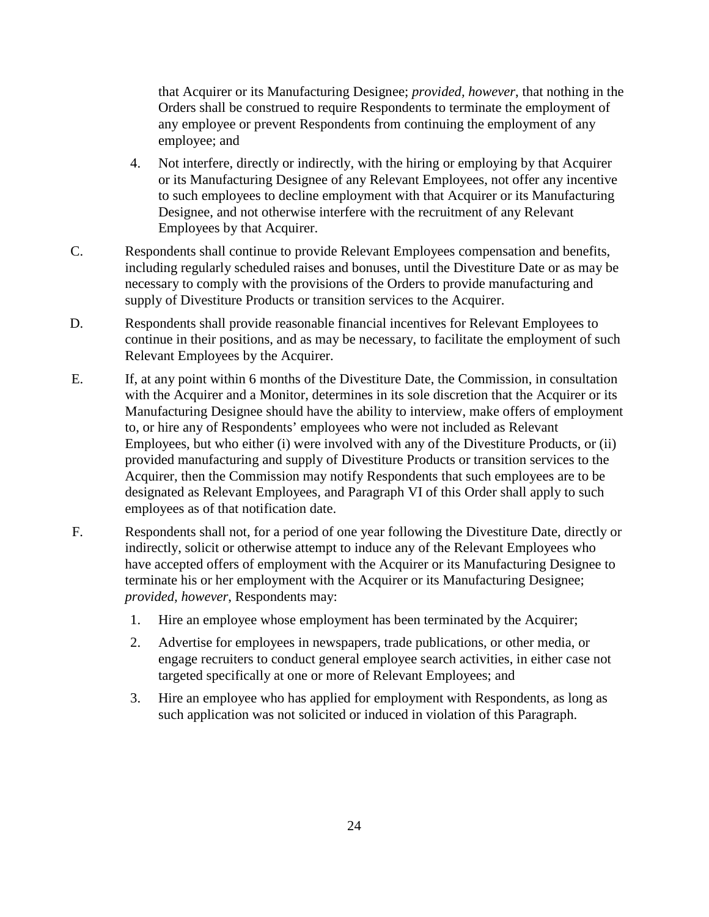that Acquirer or its Manufacturing Designee; *provided, however*, that nothing in the Orders shall be construed to require Respondents to terminate the employment of any employee or prevent Respondents from continuing the employment of any employee; and

- 4. Not interfere, directly or indirectly, with the hiring or employing by that Acquirer or its Manufacturing Designee of any Relevant Employees, not offer any incentive to such employees to decline employment with that Acquirer or its Manufacturing Designee, and not otherwise interfere with the recruitment of any Relevant Employees by that Acquirer.
- C. Respondents shall continue to provide Relevant Employees compensation and benefits, including regularly scheduled raises and bonuses, until the Divestiture Date or as may be necessary to comply with the provisions of the Orders to provide manufacturing and supply of Divestiture Products or transition services to the Acquirer.
- D. Respondents shall provide reasonable financial incentives for Relevant Employees to continue in their positions, and as may be necessary, to facilitate the employment of such Relevant Employees by the Acquirer.
- E. If, at any point within 6 months of the Divestiture Date, the Commission, in consultation with the Acquirer and a Monitor, determines in its sole discretion that the Acquirer or its Manufacturing Designee should have the ability to interview, make offers of employment to, or hire any of Respondents' employees who were not included as Relevant Employees, but who either (i) were involved with any of the Divestiture Products, or (ii) provided manufacturing and supply of Divestiture Products or transition services to the Acquirer, then the Commission may notify Respondents that such employees are to be designated as Relevant Employees, and Paragraph VI of this Order shall apply to such employees as of that notification date.
- F. Respondents shall not, for a period of one year following the Divestiture Date, directly or indirectly, solicit or otherwise attempt to induce any of the Relevant Employees who have accepted offers of employment with the Acquirer or its Manufacturing Designee to terminate his or her employment with the Acquirer or its Manufacturing Designee; *provided, however*, Respondents may:
	- 1. Hire an employee whose employment has been terminated by the Acquirer;
	- 2. Advertise for employees in newspapers, trade publications, or other media, or engage recruiters to conduct general employee search activities, in either case not targeted specifically at one or more of Relevant Employees; and
	- 3. Hire an employee who has applied for employment with Respondents, as long as such application was not solicited or induced in violation of this Paragraph.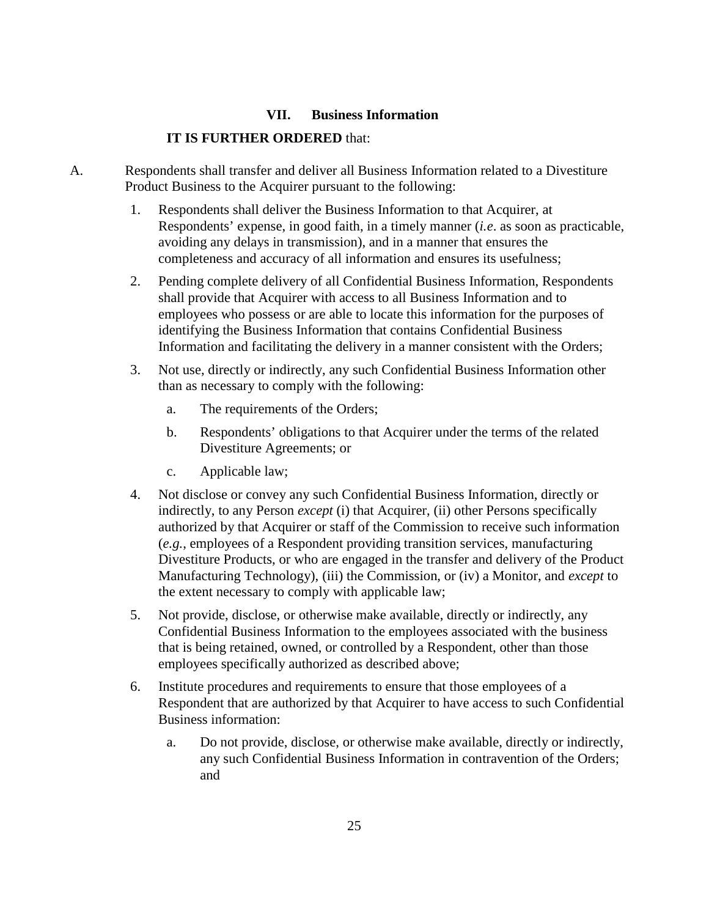## **VII. Business Information**

### **IT IS FURTHER ORDERED** that:

- A. Respondents shall transfer and deliver all Business Information related to a Divestiture Product Business to the Acquirer pursuant to the following:
	- 1. Respondents shall deliver the Business Information to that Acquirer, at Respondents' expense, in good faith, in a timely manner (*i.e*. as soon as practicable, avoiding any delays in transmission), and in a manner that ensures the completeness and accuracy of all information and ensures its usefulness;
	- 2. Pending complete delivery of all Confidential Business Information, Respondents shall provide that Acquirer with access to all Business Information and to employees who possess or are able to locate this information for the purposes of identifying the Business Information that contains Confidential Business Information and facilitating the delivery in a manner consistent with the Orders;
	- 3. Not use, directly or indirectly, any such Confidential Business Information other than as necessary to comply with the following:
		- a. The requirements of the Orders;
		- b. Respondents' obligations to that Acquirer under the terms of the related Divestiture Agreements; or
		- c. Applicable law;
	- 4. Not disclose or convey any such Confidential Business Information, directly or indirectly, to any Person *except* (i) that Acquirer, (ii) other Persons specifically authorized by that Acquirer or staff of the Commission to receive such information (*e.g.*, employees of a Respondent providing transition services, manufacturing Divestiture Products, or who are engaged in the transfer and delivery of the Product Manufacturing Technology), (iii) the Commission, or (iv) a Monitor, and *except* to the extent necessary to comply with applicable law;
	- 5. Not provide, disclose, or otherwise make available, directly or indirectly, any Confidential Business Information to the employees associated with the business that is being retained, owned, or controlled by a Respondent, other than those employees specifically authorized as described above;
	- 6. Institute procedures and requirements to ensure that those employees of a Respondent that are authorized by that Acquirer to have access to such Confidential Business information:
		- a. Do not provide, disclose, or otherwise make available, directly or indirectly, any such Confidential Business Information in contravention of the Orders; and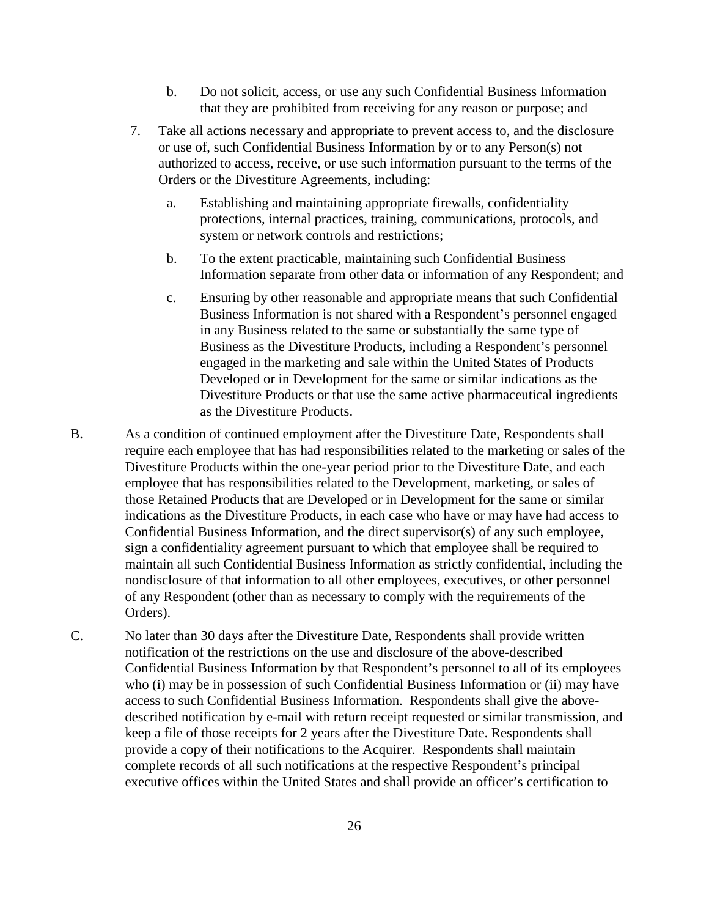- b. Do not solicit, access, or use any such Confidential Business Information that they are prohibited from receiving for any reason or purpose; and
- 7. Take all actions necessary and appropriate to prevent access to, and the disclosure or use of, such Confidential Business Information by or to any Person(s) not authorized to access, receive, or use such information pursuant to the terms of the Orders or the Divestiture Agreements, including:
	- a. Establishing and maintaining appropriate firewalls, confidentiality protections, internal practices, training, communications, protocols, and system or network controls and restrictions;
	- b. To the extent practicable, maintaining such Confidential Business Information separate from other data or information of any Respondent; and
	- c. Ensuring by other reasonable and appropriate means that such Confidential Business Information is not shared with a Respondent's personnel engaged in any Business related to the same or substantially the same type of Business as the Divestiture Products, including a Respondent's personnel engaged in the marketing and sale within the United States of Products Developed or in Development for the same or similar indications as the Divestiture Products or that use the same active pharmaceutical ingredients as the Divestiture Products.
- B. As a condition of continued employment after the Divestiture Date, Respondents shall require each employee that has had responsibilities related to the marketing or sales of the Divestiture Products within the one-year period prior to the Divestiture Date, and each employee that has responsibilities related to the Development, marketing, or sales of those Retained Products that are Developed or in Development for the same or similar indications as the Divestiture Products, in each case who have or may have had access to Confidential Business Information, and the direct supervisor(s) of any such employee, sign a confidentiality agreement pursuant to which that employee shall be required to maintain all such Confidential Business Information as strictly confidential, including the nondisclosure of that information to all other employees, executives, or other personnel of any Respondent (other than as necessary to comply with the requirements of the Orders).
- C. No later than 30 days after the Divestiture Date, Respondents shall provide written notification of the restrictions on the use and disclosure of the above-described Confidential Business Information by that Respondent's personnel to all of its employees who (i) may be in possession of such Confidential Business Information or (ii) may have access to such Confidential Business Information. Respondents shall give the abovedescribed notification by e-mail with return receipt requested or similar transmission, and keep a file of those receipts for 2 years after the Divestiture Date. Respondents shall provide a copy of their notifications to the Acquirer. Respondents shall maintain complete records of all such notifications at the respective Respondent's principal executive offices within the United States and shall provide an officer's certification to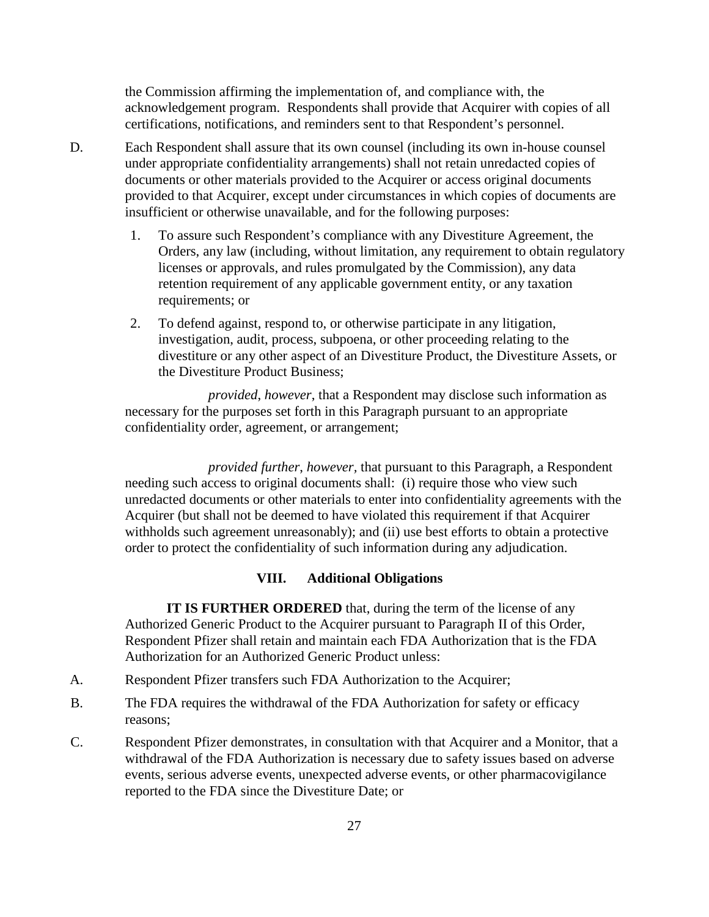the Commission affirming the implementation of, and compliance with, the acknowledgement program. Respondents shall provide that Acquirer with copies of all certifications, notifications, and reminders sent to that Respondent's personnel.

- D. Each Respondent shall assure that its own counsel (including its own in-house counsel under appropriate confidentiality arrangements) shall not retain unredacted copies of documents or other materials provided to the Acquirer or access original documents provided to that Acquirer, except under circumstances in which copies of documents are insufficient or otherwise unavailable, and for the following purposes:
	- 1. To assure such Respondent's compliance with any Divestiture Agreement, the Orders, any law (including, without limitation, any requirement to obtain regulatory licenses or approvals, and rules promulgated by the Commission), any data retention requirement of any applicable government entity, or any taxation requirements; or
	- 2. To defend against, respond to, or otherwise participate in any litigation, investigation, audit, process, subpoena, or other proceeding relating to the divestiture or any other aspect of an Divestiture Product, the Divestiture Assets, or the Divestiture Product Business;

*provided*, *however*, that a Respondent may disclose such information as necessary for the purposes set forth in this Paragraph pursuant to an appropriate confidentiality order, agreement, or arrangement;

*provided further*, *however,* that pursuant to this Paragraph, a Respondent needing such access to original documents shall: (i) require those who view such unredacted documents or other materials to enter into confidentiality agreements with the Acquirer (but shall not be deemed to have violated this requirement if that Acquirer withholds such agreement unreasonably); and (ii) use best efforts to obtain a protective order to protect the confidentiality of such information during any adjudication.

#### **VIII. Additional Obligations**

**IT IS FURTHER ORDERED** that, during the term of the license of any Authorized Generic Product to the Acquirer pursuant to Paragraph II of this Order, Respondent Pfizer shall retain and maintain each FDA Authorization that is the FDA Authorization for an Authorized Generic Product unless:

- A. Respondent Pfizer transfers such FDA Authorization to the Acquirer;
- B. The FDA requires the withdrawal of the FDA Authorization for safety or efficacy reasons;
- C. Respondent Pfizer demonstrates, in consultation with that Acquirer and a Monitor, that a withdrawal of the FDA Authorization is necessary due to safety issues based on adverse events, serious adverse events, unexpected adverse events, or other pharmacovigilance reported to the FDA since the Divestiture Date; or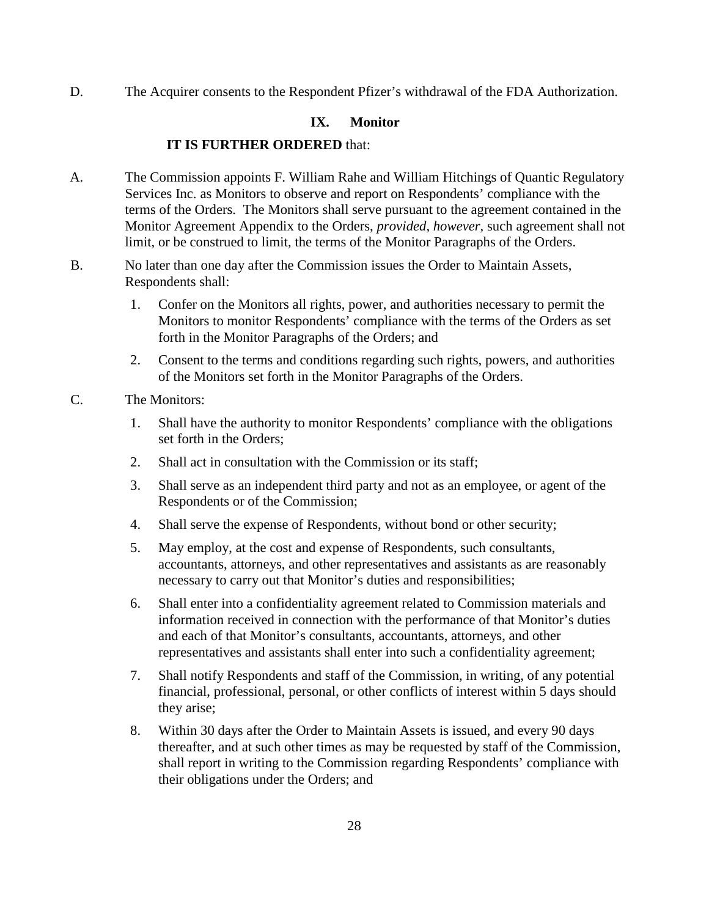D. The Acquirer consents to the Respondent Pfizer's withdrawal of the FDA Authorization.

## **IX. Monitor**

### **IT IS FURTHER ORDERED** that:

- A. The Commission appoints F. William Rahe and William Hitchings of Quantic Regulatory Services Inc. as Monitors to observe and report on Respondents' compliance with the terms of the Orders. The Monitors shall serve pursuant to the agreement contained in the Monitor Agreement Appendix to the Orders, *provided, however,* such agreement shall not limit, or be construed to limit, the terms of the Monitor Paragraphs of the Orders.
- B. No later than one day after the Commission issues the Order to Maintain Assets, Respondents shall:
	- 1. Confer on the Monitors all rights, power, and authorities necessary to permit the Monitors to monitor Respondents' compliance with the terms of the Orders as set forth in the Monitor Paragraphs of the Orders; and
	- 2. Consent to the terms and conditions regarding such rights, powers, and authorities of the Monitors set forth in the Monitor Paragraphs of the Orders.
- C. The Monitors:
	- 1. Shall have the authority to monitor Respondents' compliance with the obligations set forth in the Orders;
	- 2. Shall act in consultation with the Commission or its staff;
	- 3. Shall serve as an independent third party and not as an employee, or agent of the Respondents or of the Commission;
	- 4. Shall serve the expense of Respondents, without bond or other security;
	- 5. May employ, at the cost and expense of Respondents, such consultants, accountants, attorneys, and other representatives and assistants as are reasonably necessary to carry out that Monitor's duties and responsibilities;
	- 6. Shall enter into a confidentiality agreement related to Commission materials and information received in connection with the performance of that Monitor's duties and each of that Monitor's consultants, accountants, attorneys, and other representatives and assistants shall enter into such a confidentiality agreement;
	- 7. Shall notify Respondents and staff of the Commission, in writing, of any potential financial, professional, personal, or other conflicts of interest within 5 days should they arise;
	- 8. Within 30 days after the Order to Maintain Assets is issued, and every 90 days thereafter, and at such other times as may be requested by staff of the Commission, shall report in writing to the Commission regarding Respondents' compliance with their obligations under the Orders; and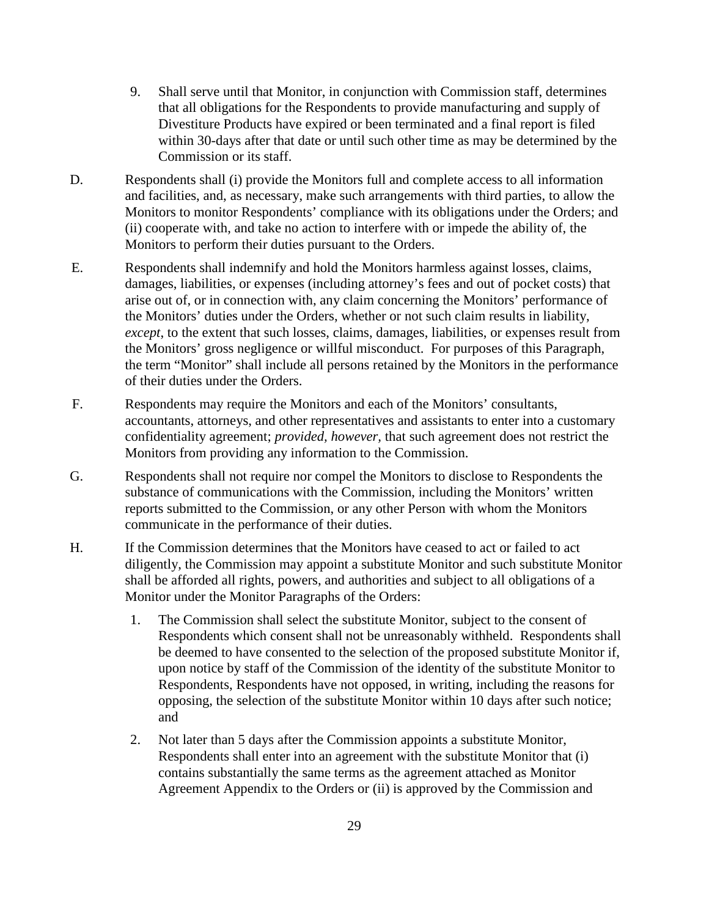- 9. Shall serve until that Monitor, in conjunction with Commission staff, determines that all obligations for the Respondents to provide manufacturing and supply of Divestiture Products have expired or been terminated and a final report is filed within 30-days after that date or until such other time as may be determined by the Commission or its staff.
- D. Respondents shall (i) provide the Monitors full and complete access to all information and facilities, and, as necessary, make such arrangements with third parties, to allow the Monitors to monitor Respondents' compliance with its obligations under the Orders; and (ii) cooperate with, and take no action to interfere with or impede the ability of, the Monitors to perform their duties pursuant to the Orders.
- E. Respondents shall indemnify and hold the Monitors harmless against losses, claims, damages, liabilities, or expenses (including attorney's fees and out of pocket costs) that arise out of, or in connection with, any claim concerning the Monitors' performance of the Monitors' duties under the Orders, whether or not such claim results in liability, *except*, to the extent that such losses, claims, damages, liabilities, or expenses result from the Monitors' gross negligence or willful misconduct. For purposes of this Paragraph, the term "Monitor" shall include all persons retained by the Monitors in the performance of their duties under the Orders.
- F. Respondents may require the Monitors and each of the Monitors' consultants, accountants, attorneys, and other representatives and assistants to enter into a customary confidentiality agreement; *provided, however,* that such agreement does not restrict the Monitors from providing any information to the Commission.
- G. Respondents shall not require nor compel the Monitors to disclose to Respondents the substance of communications with the Commission, including the Monitors' written reports submitted to the Commission, or any other Person with whom the Monitors communicate in the performance of their duties.
- H. If the Commission determines that the Monitors have ceased to act or failed to act diligently, the Commission may appoint a substitute Monitor and such substitute Monitor shall be afforded all rights, powers, and authorities and subject to all obligations of a Monitor under the Monitor Paragraphs of the Orders:
	- 1. The Commission shall select the substitute Monitor, subject to the consent of Respondents which consent shall not be unreasonably withheld. Respondents shall be deemed to have consented to the selection of the proposed substitute Monitor if, upon notice by staff of the Commission of the identity of the substitute Monitor to Respondents, Respondents have not opposed, in writing, including the reasons for opposing, the selection of the substitute Monitor within 10 days after such notice; and
	- 2. Not later than 5 days after the Commission appoints a substitute Monitor, Respondents shall enter into an agreement with the substitute Monitor that (i) contains substantially the same terms as the agreement attached as Monitor Agreement Appendix to the Orders or (ii) is approved by the Commission and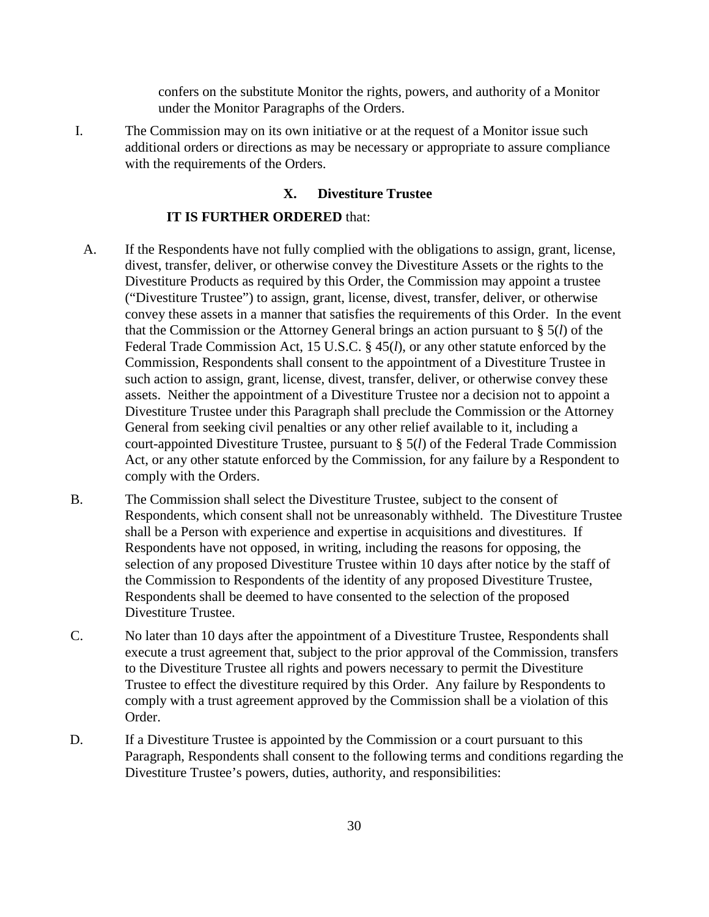confers on the substitute Monitor the rights, powers, and authority of a Monitor under the Monitor Paragraphs of the Orders.

I. The Commission may on its own initiative or at the request of a Monitor issue such additional orders or directions as may be necessary or appropriate to assure compliance with the requirements of the Orders.

#### **X. Divestiture Trustee**

#### **IT IS FURTHER ORDERED** that:

- A. If the Respondents have not fully complied with the obligations to assign, grant, license, divest, transfer, deliver, or otherwise convey the Divestiture Assets or the rights to the Divestiture Products as required by this Order, the Commission may appoint a trustee ("Divestiture Trustee") to assign, grant, license, divest, transfer, deliver, or otherwise convey these assets in a manner that satisfies the requirements of this Order. In the event that the Commission or the Attorney General brings an action pursuant to § 5(*l*) of the Federal Trade Commission Act, 15 U.S.C. § 45(*l*), or any other statute enforced by the Commission, Respondents shall consent to the appointment of a Divestiture Trustee in such action to assign, grant, license, divest, transfer, deliver, or otherwise convey these assets. Neither the appointment of a Divestiture Trustee nor a decision not to appoint a Divestiture Trustee under this Paragraph shall preclude the Commission or the Attorney General from seeking civil penalties or any other relief available to it, including a court-appointed Divestiture Trustee, pursuant to § 5(*l*) of the Federal Trade Commission Act, or any other statute enforced by the Commission, for any failure by a Respondent to comply with the Orders.
- B. The Commission shall select the Divestiture Trustee, subject to the consent of Respondents, which consent shall not be unreasonably withheld. The Divestiture Trustee shall be a Person with experience and expertise in acquisitions and divestitures. If Respondents have not opposed, in writing, including the reasons for opposing, the selection of any proposed Divestiture Trustee within 10 days after notice by the staff of the Commission to Respondents of the identity of any proposed Divestiture Trustee, Respondents shall be deemed to have consented to the selection of the proposed Divestiture Trustee.
- C. No later than 10 days after the appointment of a Divestiture Trustee, Respondents shall execute a trust agreement that, subject to the prior approval of the Commission, transfers to the Divestiture Trustee all rights and powers necessary to permit the Divestiture Trustee to effect the divestiture required by this Order. Any failure by Respondents to comply with a trust agreement approved by the Commission shall be a violation of this Order.
- D. If a Divestiture Trustee is appointed by the Commission or a court pursuant to this Paragraph, Respondents shall consent to the following terms and conditions regarding the Divestiture Trustee's powers, duties, authority, and responsibilities: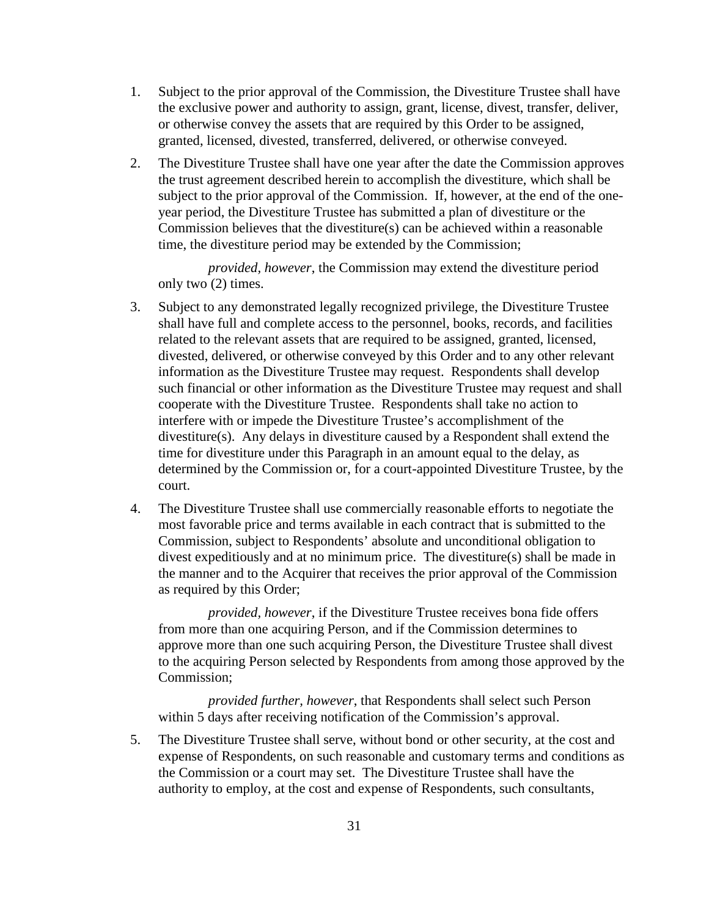- 1. Subject to the prior approval of the Commission, the Divestiture Trustee shall have the exclusive power and authority to assign, grant, license, divest, transfer, deliver, or otherwise convey the assets that are required by this Order to be assigned, granted, licensed, divested, transferred, delivered, or otherwise conveyed.
- 2. The Divestiture Trustee shall have one year after the date the Commission approves the trust agreement described herein to accomplish the divestiture, which shall be subject to the prior approval of the Commission. If, however, at the end of the oneyear period, the Divestiture Trustee has submitted a plan of divestiture or the Commission believes that the divestiture(s) can be achieved within a reasonable time, the divestiture period may be extended by the Commission;

*provided, however*, the Commission may extend the divestiture period only two (2) times.

- 3. Subject to any demonstrated legally recognized privilege, the Divestiture Trustee shall have full and complete access to the personnel, books, records, and facilities related to the relevant assets that are required to be assigned, granted, licensed, divested, delivered, or otherwise conveyed by this Order and to any other relevant information as the Divestiture Trustee may request. Respondents shall develop such financial or other information as the Divestiture Trustee may request and shall cooperate with the Divestiture Trustee. Respondents shall take no action to interfere with or impede the Divestiture Trustee's accomplishment of the divestiture(s). Any delays in divestiture caused by a Respondent shall extend the time for divestiture under this Paragraph in an amount equal to the delay, as determined by the Commission or, for a court-appointed Divestiture Trustee, by the court.
- 4. The Divestiture Trustee shall use commercially reasonable efforts to negotiate the most favorable price and terms available in each contract that is submitted to the Commission, subject to Respondents' absolute and unconditional obligation to divest expeditiously and at no minimum price. The divestiture(s) shall be made in the manner and to the Acquirer that receives the prior approval of the Commission as required by this Order;

*provided, however*, if the Divestiture Trustee receives bona fide offers from more than one acquiring Person, and if the Commission determines to approve more than one such acquiring Person, the Divestiture Trustee shall divest to the acquiring Person selected by Respondents from among those approved by the Commission;

*provided further, however*, that Respondents shall select such Person within 5 days after receiving notification of the Commission's approval.

5. The Divestiture Trustee shall serve, without bond or other security, at the cost and expense of Respondents, on such reasonable and customary terms and conditions as the Commission or a court may set. The Divestiture Trustee shall have the authority to employ, at the cost and expense of Respondents, such consultants,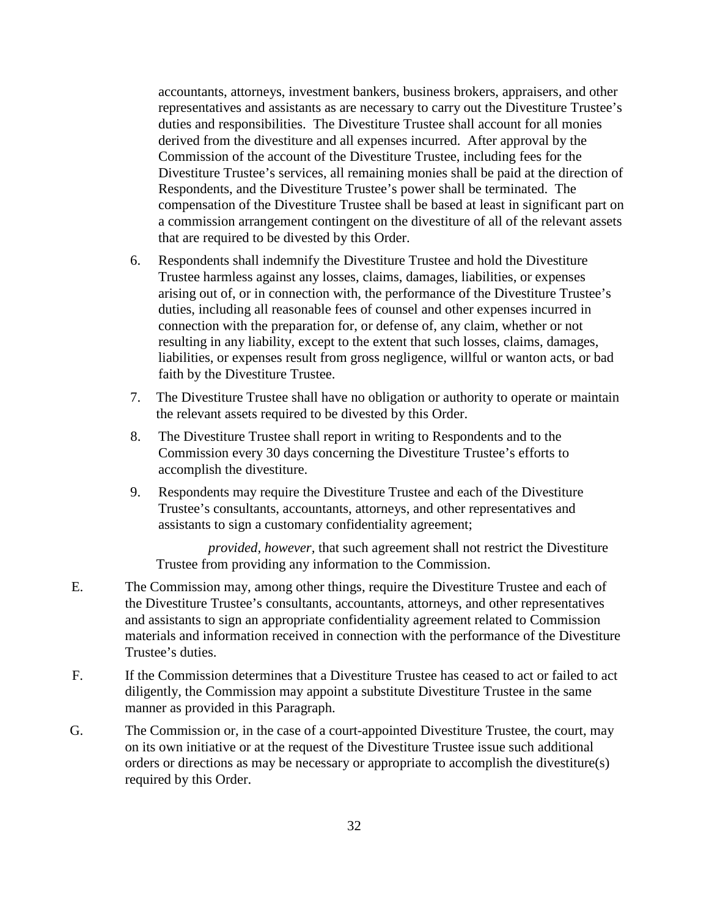accountants, attorneys, investment bankers, business brokers, appraisers, and other representatives and assistants as are necessary to carry out the Divestiture Trustee's duties and responsibilities. The Divestiture Trustee shall account for all monies derived from the divestiture and all expenses incurred. After approval by the Commission of the account of the Divestiture Trustee, including fees for the Divestiture Trustee's services, all remaining monies shall be paid at the direction of Respondents, and the Divestiture Trustee's power shall be terminated. The compensation of the Divestiture Trustee shall be based at least in significant part on a commission arrangement contingent on the divestiture of all of the relevant assets that are required to be divested by this Order.

- 6. Respondents shall indemnify the Divestiture Trustee and hold the Divestiture Trustee harmless against any losses, claims, damages, liabilities, or expenses arising out of, or in connection with, the performance of the Divestiture Trustee's duties, including all reasonable fees of counsel and other expenses incurred in connection with the preparation for, or defense of, any claim, whether or not resulting in any liability, except to the extent that such losses, claims, damages, liabilities, or expenses result from gross negligence, willful or wanton acts, or bad faith by the Divestiture Trustee.
- 7. The Divestiture Trustee shall have no obligation or authority to operate or maintain the relevant assets required to be divested by this Order.
- 8. The Divestiture Trustee shall report in writing to Respondents and to the Commission every 30 days concerning the Divestiture Trustee's efforts to accomplish the divestiture.
- 9. Respondents may require the Divestiture Trustee and each of the Divestiture Trustee's consultants, accountants, attorneys, and other representatives and assistants to sign a customary confidentiality agreement;

*provided, however,* that such agreement shall not restrict the Divestiture Trustee from providing any information to the Commission.

- E. The Commission may, among other things, require the Divestiture Trustee and each of the Divestiture Trustee's consultants, accountants, attorneys, and other representatives and assistants to sign an appropriate confidentiality agreement related to Commission materials and information received in connection with the performance of the Divestiture Trustee's duties.
- F. If the Commission determines that a Divestiture Trustee has ceased to act or failed to act diligently, the Commission may appoint a substitute Divestiture Trustee in the same manner as provided in this Paragraph.
- G. The Commission or, in the case of a court-appointed Divestiture Trustee, the court, may on its own initiative or at the request of the Divestiture Trustee issue such additional orders or directions as may be necessary or appropriate to accomplish the divestiture(s) required by this Order.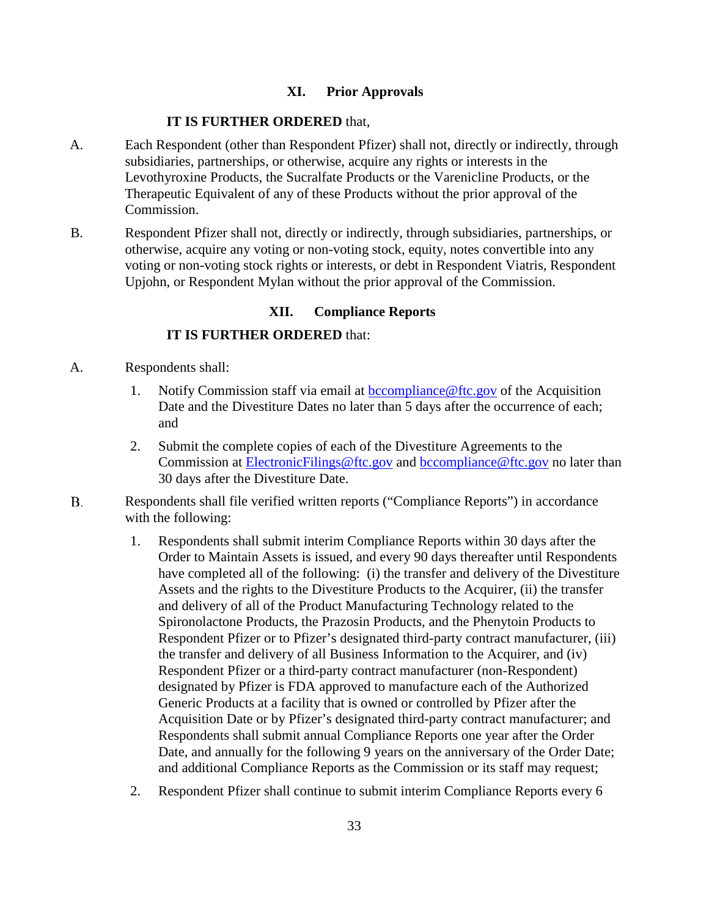## **XI. Prior Approvals**

#### **IT IS FURTHER ORDERED** that,

- A. Each Respondent (other than Respondent Pfizer) shall not, directly or indirectly, through subsidiaries, partnerships, or otherwise, acquire any rights or interests in the Levothyroxine Products, the Sucralfate Products or the Varenicline Products, or the Therapeutic Equivalent of any of these Products without the prior approval of the Commission.
- B. Respondent Pfizer shall not, directly or indirectly, through subsidiaries, partnerships, or otherwise, acquire any voting or non-voting stock, equity, notes convertible into any voting or non-voting stock rights or interests, or debt in Respondent Viatris, Respondent Upjohn, or Respondent Mylan without the prior approval of the Commission.

### **XII. Compliance Reports**

## **IT IS FURTHER ORDERED** that:

- A. Respondents shall:
	- 1. Notify Commission staff via email at [bccompliance@ftc.gov](mailto:bccompliance@ftc.gov) of the Acquisition Date and the Divestiture Dates no later than 5 days after the occurrence of each; and
	- 2. Submit the complete copies of each of the Divestiture Agreements to the Commission at [ElectronicFilings@ftc.gov](mailto:ElectronicFilings@ftc.gov) and [bccompliance@ftc.gov](mailto:bccompliance@ftc.gov) no later than 30 days after the Divestiture Date.
- **B.** Respondents shall file verified written reports ("Compliance Reports") in accordance with the following:
	- 1. Respondents shall submit interim Compliance Reports within 30 days after the Order to Maintain Assets is issued, and every 90 days thereafter until Respondents have completed all of the following: (i) the transfer and delivery of the Divestiture Assets and the rights to the Divestiture Products to the Acquirer, (ii) the transfer and delivery of all of the Product Manufacturing Technology related to the Spironolactone Products, the Prazosin Products, and the Phenytoin Products to Respondent Pfizer or to Pfizer's designated third-party contract manufacturer, (iii) the transfer and delivery of all Business Information to the Acquirer, and (iv) Respondent Pfizer or a third-party contract manufacturer (non-Respondent) designated by Pfizer is FDA approved to manufacture each of the Authorized Generic Products at a facility that is owned or controlled by Pfizer after the Acquisition Date or by Pfizer's designated third-party contract manufacturer; and Respondents shall submit annual Compliance Reports one year after the Order Date, and annually for the following 9 years on the anniversary of the Order Date; and additional Compliance Reports as the Commission or its staff may request;
	- 2. Respondent Pfizer shall continue to submit interim Compliance Reports every 6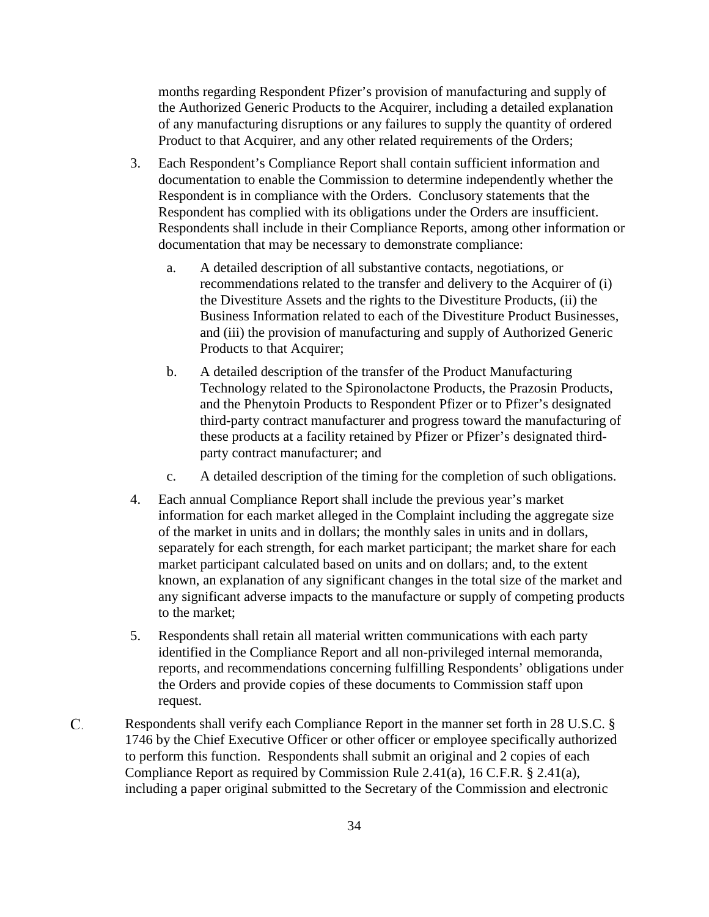months regarding Respondent Pfizer's provision of manufacturing and supply of the Authorized Generic Products to the Acquirer, including a detailed explanation of any manufacturing disruptions or any failures to supply the quantity of ordered Product to that Acquirer, and any other related requirements of the Orders;

- 3. Each Respondent's Compliance Report shall contain sufficient information and documentation to enable the Commission to determine independently whether the Respondent is in compliance with the Orders. Conclusory statements that the Respondent has complied with its obligations under the Orders are insufficient. Respondents shall include in their Compliance Reports, among other information or documentation that may be necessary to demonstrate compliance:
	- a. A detailed description of all substantive contacts, negotiations, or recommendations related to the transfer and delivery to the Acquirer of (i) the Divestiture Assets and the rights to the Divestiture Products, (ii) the Business Information related to each of the Divestiture Product Businesses, and (iii) the provision of manufacturing and supply of Authorized Generic Products to that Acquirer;
	- b. A detailed description of the transfer of the Product Manufacturing Technology related to the Spironolactone Products, the Prazosin Products, and the Phenytoin Products to Respondent Pfizer or to Pfizer's designated third-party contract manufacturer and progress toward the manufacturing of these products at a facility retained by Pfizer or Pfizer's designated thirdparty contract manufacturer; and
	- c. A detailed description of the timing for the completion of such obligations.
- 4. Each annual Compliance Report shall include the previous year's market information for each market alleged in the Complaint including the aggregate size of the market in units and in dollars; the monthly sales in units and in dollars, separately for each strength, for each market participant; the market share for each market participant calculated based on units and on dollars; and, to the extent known, an explanation of any significant changes in the total size of the market and any significant adverse impacts to the manufacture or supply of competing products to the market;
- 5. Respondents shall retain all material written communications with each party identified in the Compliance Report and all non-privileged internal memoranda, reports, and recommendations concerning fulfilling Respondents' obligations under the Orders and provide copies of these documents to Commission staff upon request.
- C. Respondents shall verify each Compliance Report in the manner set forth in 28 U.S.C. § 1746 by the Chief Executive Officer or other officer or employee specifically authorized to perform this function. Respondents shall submit an original and 2 copies of each Compliance Report as required by Commission Rule 2.41(a), 16 C.F.R. § 2.41(a), including a paper original submitted to the Secretary of the Commission and electronic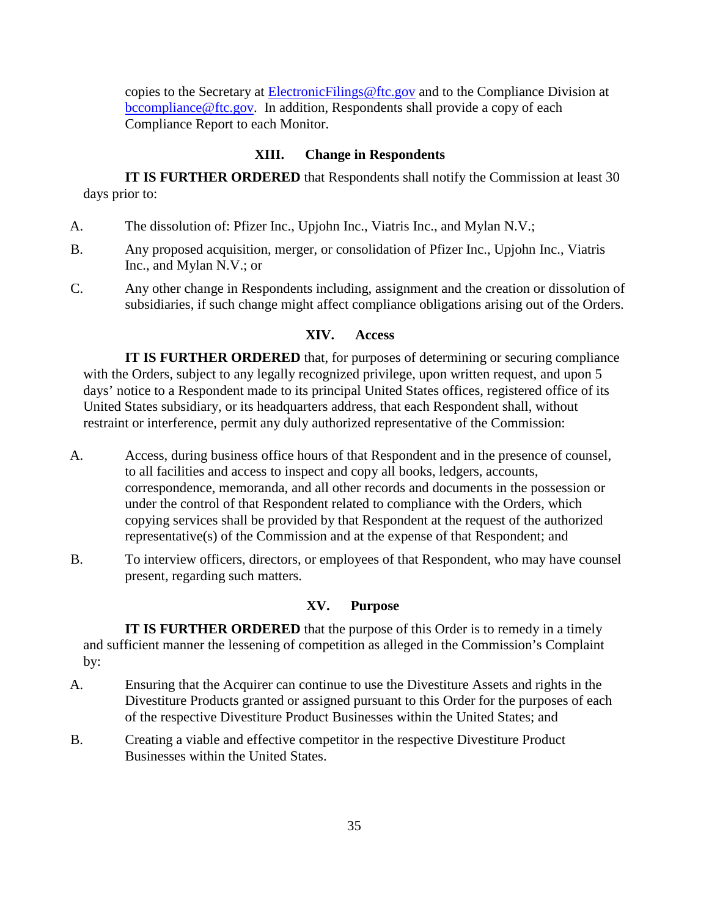copies to the Secretary at [ElectronicFilings@ftc.gov](mailto:ElectronicFilings@ftc.gov) and to the Compliance Division at [bccompliance@ftc.gov.](mailto:bccompliance@ftc.gov) In addition, Respondents shall provide a copy of each Compliance Report to each Monitor.

### **XIII. Change in Respondents**

**IT IS FURTHER ORDERED** that Respondents shall notify the Commission at least 30 days prior to:

- A. The dissolution of: Pfizer Inc., Upjohn Inc., Viatris Inc., and Mylan N.V.;
- B. Any proposed acquisition, merger, or consolidation of Pfizer Inc., Upjohn Inc., Viatris Inc., and Mylan N.V.; or
- C. Any other change in Respondents including, assignment and the creation or dissolution of subsidiaries, if such change might affect compliance obligations arising out of the Orders.

# **XIV. Access**

**IT IS FURTHER ORDERED** that, for purposes of determining or securing compliance with the Orders, subject to any legally recognized privilege, upon written request, and upon 5 days' notice to a Respondent made to its principal United States offices, registered office of its United States subsidiary, or its headquarters address, that each Respondent shall, without restraint or interference, permit any duly authorized representative of the Commission:

- A. Access, during business office hours of that Respondent and in the presence of counsel, to all facilities and access to inspect and copy all books, ledgers, accounts, correspondence, memoranda, and all other records and documents in the possession or under the control of that Respondent related to compliance with the Orders, which copying services shall be provided by that Respondent at the request of the authorized representative(s) of the Commission and at the expense of that Respondent; and
- B. To interview officers, directors, or employees of that Respondent, who may have counsel present, regarding such matters.

## **XV. Purpose**

**IT IS FURTHER ORDERED** that the purpose of this Order is to remedy in a timely and sufficient manner the lessening of competition as alleged in the Commission's Complaint by:

- A. Ensuring that the Acquirer can continue to use the Divestiture Assets and rights in the Divestiture Products granted or assigned pursuant to this Order for the purposes of each of the respective Divestiture Product Businesses within the United States; and
- B. Creating a viable and effective competitor in the respective Divestiture Product Businesses within the United States.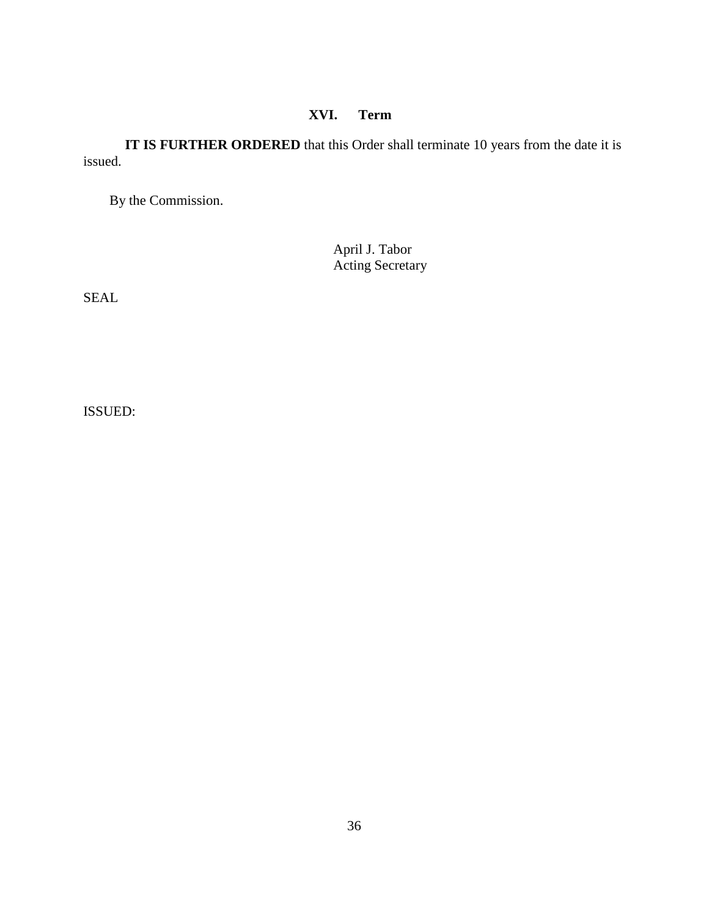# **XVI. Term**

**IT IS FURTHER ORDERED** that this Order shall terminate 10 years from the date it is issued.

By the Commission.

April J. Tabor Acting Secretary

SEAL

ISSUED: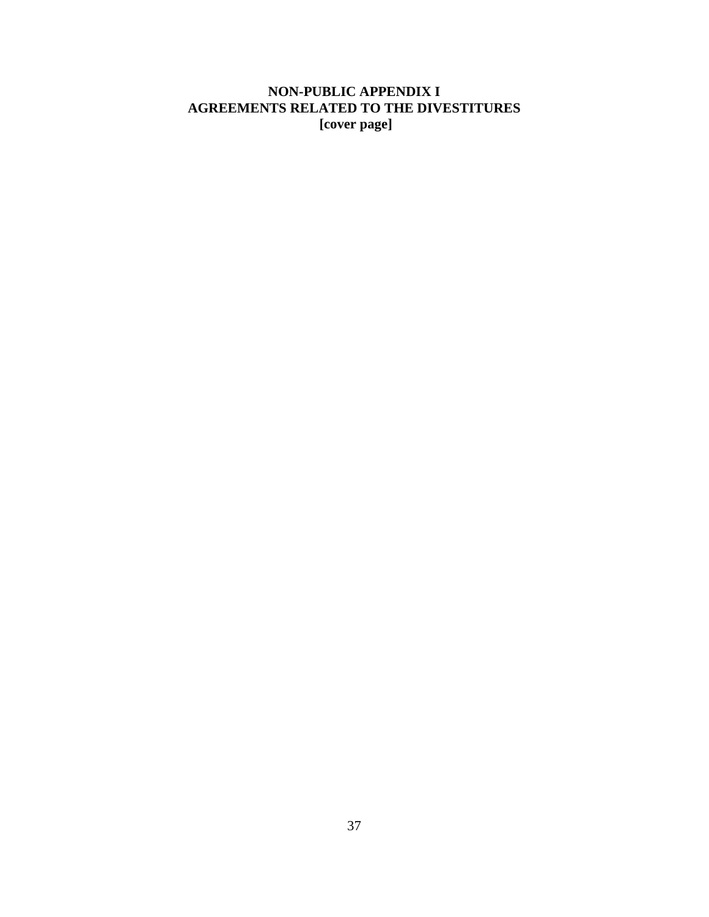# **NON-PUBLIC APPENDIX I AGREEMENTS RELATED TO THE DIVESTITURES [cover page]**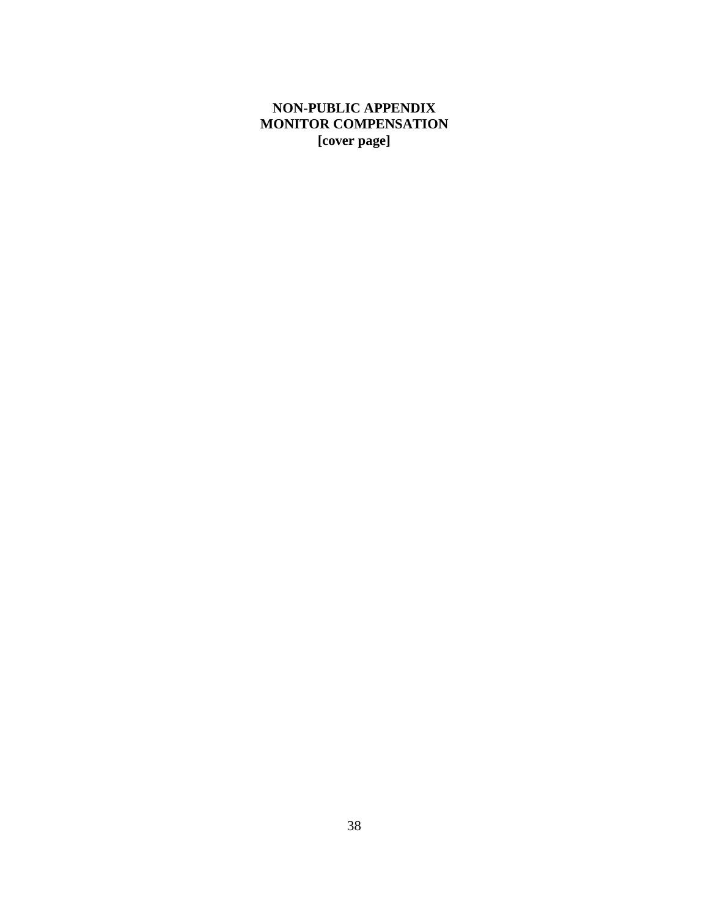# **NON-PUBLIC APPENDIX MONITOR COMPENSATION [cover page]**